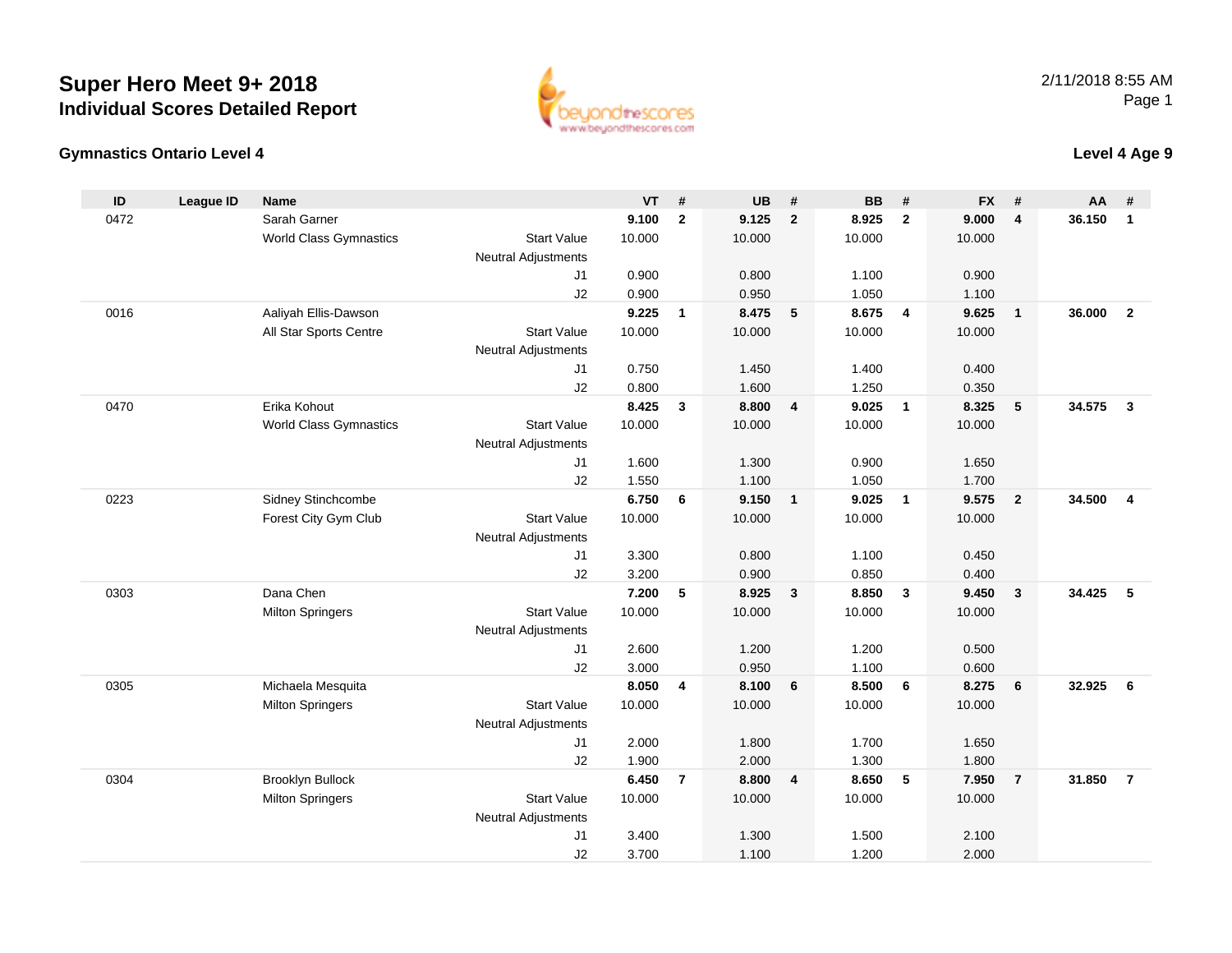



## **Level 4 Age 9**

| ID   | <b>League ID</b> | Name                          |                            | $VT$ #         |                | <b>UB</b>      | #              | <b>BB</b>      | #                       | <b>FX</b>      | #              | AA     | #                       |
|------|------------------|-------------------------------|----------------------------|----------------|----------------|----------------|----------------|----------------|-------------------------|----------------|----------------|--------|-------------------------|
| 0472 |                  | Sarah Garner                  |                            | 9.100          | $\overline{2}$ | 9.125          | $\overline{2}$ | 8.925          | $\overline{2}$          | 9.000          | $\overline{4}$ | 36.150 | $\mathbf{1}$            |
|      |                  | World Class Gymnastics        | <b>Start Value</b>         | 10.000         |                | 10.000         |                | 10.000         |                         | 10.000         |                |        |                         |
|      |                  |                               | <b>Neutral Adjustments</b> |                |                |                |                |                |                         |                |                |        |                         |
|      |                  |                               | J1                         | 0.900          |                | 0.800          |                | 1.100          |                         | 0.900          |                |        |                         |
|      |                  |                               | J2                         | 0.900          |                | 0.950          |                | 1.050          |                         | 1.100          |                |        |                         |
| 0016 |                  | Aaliyah Ellis-Dawson          |                            | 9.225          | $\mathbf{1}$   | 8.475          | 5              | 8.675          | $\overline{4}$          | 9.625          | $\overline{1}$ | 36.000 | $\overline{2}$          |
|      |                  | All Star Sports Centre        | <b>Start Value</b>         | 10.000         |                | 10.000         |                | 10.000         |                         | 10.000         |                |        |                         |
|      |                  |                               | <b>Neutral Adjustments</b> |                |                |                |                |                |                         |                |                |        |                         |
|      |                  |                               | J1                         | 0.750          |                | 1.450          |                | 1.400          |                         | 0.400          |                |        |                         |
|      |                  |                               | J2                         | 0.800          |                | 1.600          |                | 1.250          |                         | 0.350          |                |        |                         |
| 0470 |                  | Erika Kohout                  |                            | 8.425          | 3              | 8.800          | $\overline{4}$ | 9.025          | $\overline{1}$          | 8.325          | 5              | 34.575 | $\mathbf{3}$            |
|      |                  | <b>World Class Gymnastics</b> | <b>Start Value</b>         | 10.000         |                | 10.000         |                | 10.000         |                         | 10.000         |                |        |                         |
|      |                  |                               | Neutral Adjustments        |                |                |                |                |                |                         |                |                |        |                         |
|      |                  |                               | J1                         | 1.600          |                | 1.300          |                | 0.900          |                         | 1.650          |                |        |                         |
|      |                  |                               | J2                         | 1.550          |                | 1.100          |                | 1.050          |                         | 1.700          |                |        |                         |
| 0223 |                  | Sidney Stinchcombe            |                            | 6.750          | 6              | 9.150          | $\mathbf{1}$   | 9.025          | $\overline{1}$          | 9.575          | $\overline{2}$ | 34.500 | $\overline{\mathbf{4}}$ |
|      |                  | Forest City Gym Club          | <b>Start Value</b>         | 10.000         |                | 10.000         |                | 10.000         |                         | 10.000         |                |        |                         |
|      |                  |                               | Neutral Adjustments        |                |                |                |                |                |                         |                |                |        |                         |
|      |                  |                               | J1                         | 3.300          |                | 0.800          |                | 1.100          |                         | 0.450          |                |        |                         |
| 0303 |                  | Dana Chen                     | J2                         | 3.200<br>7.200 | 5              | 0.900<br>8.925 | $\mathbf{3}$   | 0.850<br>8.850 | $\overline{\mathbf{3}}$ | 0.400<br>9.450 | $\mathbf{3}$   | 34.425 | -5                      |
|      |                  | <b>Milton Springers</b>       | <b>Start Value</b>         | 10.000         |                | 10.000         |                | 10.000         |                         | 10.000         |                |        |                         |
|      |                  |                               | Neutral Adjustments        |                |                |                |                |                |                         |                |                |        |                         |
|      |                  |                               | J1                         | 2.600          |                | 1.200          |                | 1.200          |                         | 0.500          |                |        |                         |
|      |                  |                               | J2                         | 3.000          |                | 0.950          |                | 1.100          |                         | 0.600          |                |        |                         |
| 0305 |                  | Michaela Mesquita             |                            | 8.050          | 4              | 8.100          | 6              | 8.500          | 6                       | 8.275          | 6              | 32.925 | 6                       |
|      |                  | <b>Milton Springers</b>       | <b>Start Value</b>         | 10.000         |                | 10.000         |                | 10.000         |                         | 10.000         |                |        |                         |
|      |                  |                               | <b>Neutral Adjustments</b> |                |                |                |                |                |                         |                |                |        |                         |
|      |                  |                               | J1                         | 2.000          |                | 1.800          |                | 1.700          |                         | 1.650          |                |        |                         |
|      |                  |                               | J2                         | 1.900          |                | 2.000          |                | 1.300          |                         | 1.800          |                |        |                         |
| 0304 |                  | Brooklyn Bullock              |                            | 6.450          | $\overline{7}$ | 8.800          | $\overline{4}$ | 8.650          | 5                       | 7.950          | $\overline{7}$ | 31.850 | $\overline{7}$          |
|      |                  | <b>Milton Springers</b>       | <b>Start Value</b>         | 10.000         |                | 10.000         |                | 10.000         |                         | 10.000         |                |        |                         |
|      |                  |                               | <b>Neutral Adjustments</b> |                |                |                |                |                |                         |                |                |        |                         |
|      |                  |                               | J <sub>1</sub>             | 3.400          |                | 1.300          |                | 1.500          |                         | 2.100          |                |        |                         |
|      |                  |                               | J2                         | 3.700          |                | 1.100          |                | 1.200          |                         | 2.000          |                |        |                         |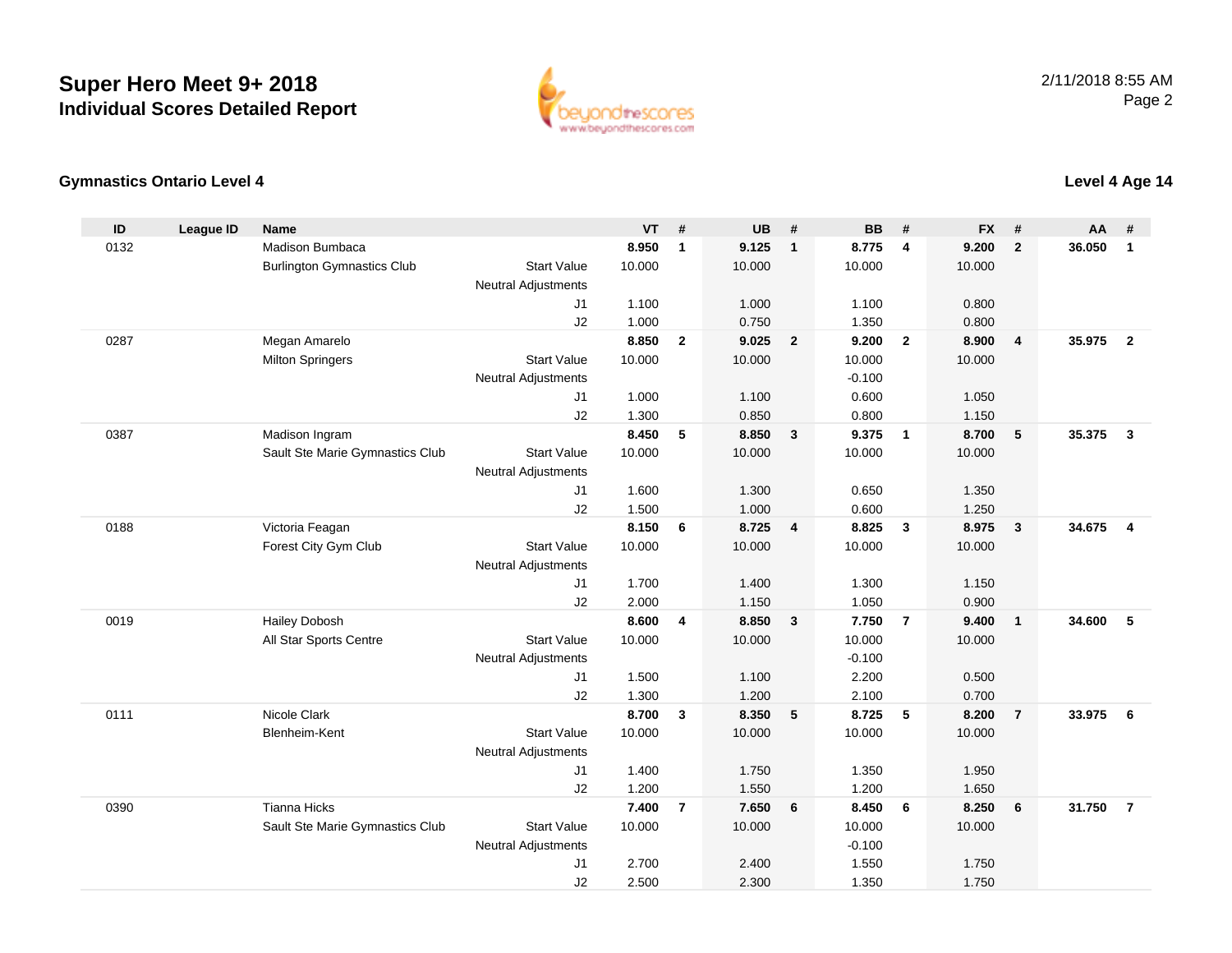

## **Gymnastics Ontario Level 4**

| ID   | <b>League ID</b> | <b>Name</b>                       |                            | <b>VT</b>       | #              | <b>UB</b>       | #                       | <b>BB</b>       | #                       | <b>FX</b>       | #                       | AA     | #                       |
|------|------------------|-----------------------------------|----------------------------|-----------------|----------------|-----------------|-------------------------|-----------------|-------------------------|-----------------|-------------------------|--------|-------------------------|
| 0132 |                  | Madison Bumbaca                   |                            | 8.950           | $\mathbf{1}$   | 9.125           | $\overline{1}$          | 8.775           | $\overline{4}$          | 9.200           | $\overline{2}$          | 36.050 | $\mathbf{1}$            |
|      |                  | <b>Burlington Gymnastics Club</b> | <b>Start Value</b>         | 10.000          |                | 10.000          |                         | 10.000          |                         | 10.000          |                         |        |                         |
|      |                  |                                   | <b>Neutral Adjustments</b> |                 |                |                 |                         |                 |                         |                 |                         |        |                         |
|      |                  |                                   | J1                         | 1.100           |                | 1.000           |                         | 1.100           |                         | 0.800           |                         |        |                         |
|      |                  |                                   | J2                         | 1.000           |                | 0.750           |                         | 1.350           |                         | 0.800           |                         |        |                         |
| 0287 |                  | Megan Amarelo                     |                            | 8.850           | $\mathbf{2}$   | 9.025           | $\overline{\mathbf{2}}$ | 9.200           | $\overline{\mathbf{2}}$ | 8.900           | $\overline{\mathbf{4}}$ | 35.975 | $\overline{2}$          |
|      |                  | <b>Milton Springers</b>           | <b>Start Value</b>         | 10.000          |                | 10.000          |                         | 10.000          |                         | 10.000          |                         |        |                         |
|      |                  |                                   | <b>Neutral Adjustments</b> |                 |                |                 |                         | $-0.100$        |                         |                 |                         |        |                         |
|      |                  |                                   | J1                         | 1.000           |                | 1.100           |                         | 0.600           |                         | 1.050           |                         |        |                         |
|      |                  |                                   | J2                         | 1.300           |                | 0.850           |                         | 0.800           |                         | 1.150           |                         |        |                         |
| 0387 |                  | Madison Ingram                    |                            | 8.450           | 5              | 8.850           | $\overline{\mathbf{3}}$ | 9.375           | $\overline{1}$          | 8.700           | $5\phantom{.0}$         | 35.375 | $\mathbf{3}$            |
|      |                  | Sault Ste Marie Gymnastics Club   | <b>Start Value</b>         | 10.000          |                | 10.000          |                         | 10.000          |                         | 10.000          |                         |        |                         |
|      |                  |                                   | <b>Neutral Adjustments</b> |                 |                |                 |                         |                 |                         |                 |                         |        |                         |
|      |                  |                                   | J1                         | 1.600           |                | 1.300           |                         | 0.650           |                         | 1.350           |                         |        |                         |
|      |                  |                                   | J2                         | 1.500           |                | 1.000           |                         | 0.600           |                         | 1.250           |                         |        |                         |
| 0188 |                  | Victoria Feagan                   |                            | 8.150           | 6              | 8.725           | $\overline{4}$          | 8.825           | $\mathbf{3}$            | 8.975           | $\mathbf{3}$            | 34.675 | $\overline{\mathbf{4}}$ |
|      |                  | Forest City Gym Club              | <b>Start Value</b>         | 10.000          |                | 10.000          |                         | 10.000          |                         | 10.000          |                         |        |                         |
|      |                  |                                   | <b>Neutral Adjustments</b> |                 |                |                 |                         |                 |                         |                 |                         |        |                         |
|      |                  |                                   | J <sub>1</sub>             | 1.700           |                | 1.400           |                         | 1.300           |                         | 1.150           |                         |        |                         |
|      |                  |                                   | J2                         | 2.000           |                | 1.150           |                         | 1.050           |                         | 0.900           |                         |        |                         |
| 0019 |                  | <b>Hailey Dobosh</b>              |                            | 8.600           | $\overline{4}$ | 8.850           | $\mathbf{3}$            | 7.750           | $\overline{7}$          | 9.400           | $\mathbf{1}$            | 34.600 | 5                       |
|      |                  | All Star Sports Centre            | <b>Start Value</b>         | 10.000          |                | 10.000          |                         | 10.000          |                         | 10.000          |                         |        |                         |
|      |                  |                                   | <b>Neutral Adjustments</b> |                 |                |                 |                         | $-0.100$        |                         |                 |                         |        |                         |
|      |                  |                                   | J1                         | 1.500           |                | 1.100           |                         | 2.200           |                         | 0.500           |                         |        |                         |
|      |                  | Nicole Clark                      | J2                         | 1.300           |                | 1.200           |                         | 2.100           |                         | 0.700           |                         |        |                         |
| 0111 |                  | Blenheim-Kent                     | <b>Start Value</b>         | 8.700<br>10.000 | $\mathbf{3}$   | 8.350<br>10.000 | 5                       | 8.725<br>10.000 | 5                       | 8.200<br>10.000 | $\overline{7}$          | 33.975 | 6                       |
|      |                  |                                   |                            |                 |                |                 |                         |                 |                         |                 |                         |        |                         |
|      |                  |                                   | <b>Neutral Adjustments</b> | 1.400           |                | 1.750           |                         | 1.350           |                         | 1.950           |                         |        |                         |
|      |                  |                                   | J1                         | 1.200           |                | 1.550           |                         |                 |                         |                 |                         |        |                         |
| 0390 |                  | <b>Tianna Hicks</b>               | J2                         | 7.400           | $\overline{7}$ | 7.650           | 6                       | 1.200<br>8.450  | 6                       | 1.650<br>8.250  | 6                       | 31.750 | $\overline{7}$          |
|      |                  | Sault Ste Marie Gymnastics Club   | <b>Start Value</b>         | 10.000          |                | 10.000          |                         | 10.000          |                         | 10.000          |                         |        |                         |
|      |                  |                                   | <b>Neutral Adjustments</b> |                 |                |                 |                         | $-0.100$        |                         |                 |                         |        |                         |
|      |                  |                                   | J1                         | 2.700           |                | 2.400           |                         | 1.550           |                         | 1.750           |                         |        |                         |
|      |                  |                                   | J2                         | 2.500           |                | 2.300           |                         | 1.350           |                         | 1.750           |                         |        |                         |
|      |                  |                                   |                            |                 |                |                 |                         |                 |                         |                 |                         |        |                         |

## **Level 4 Age 14**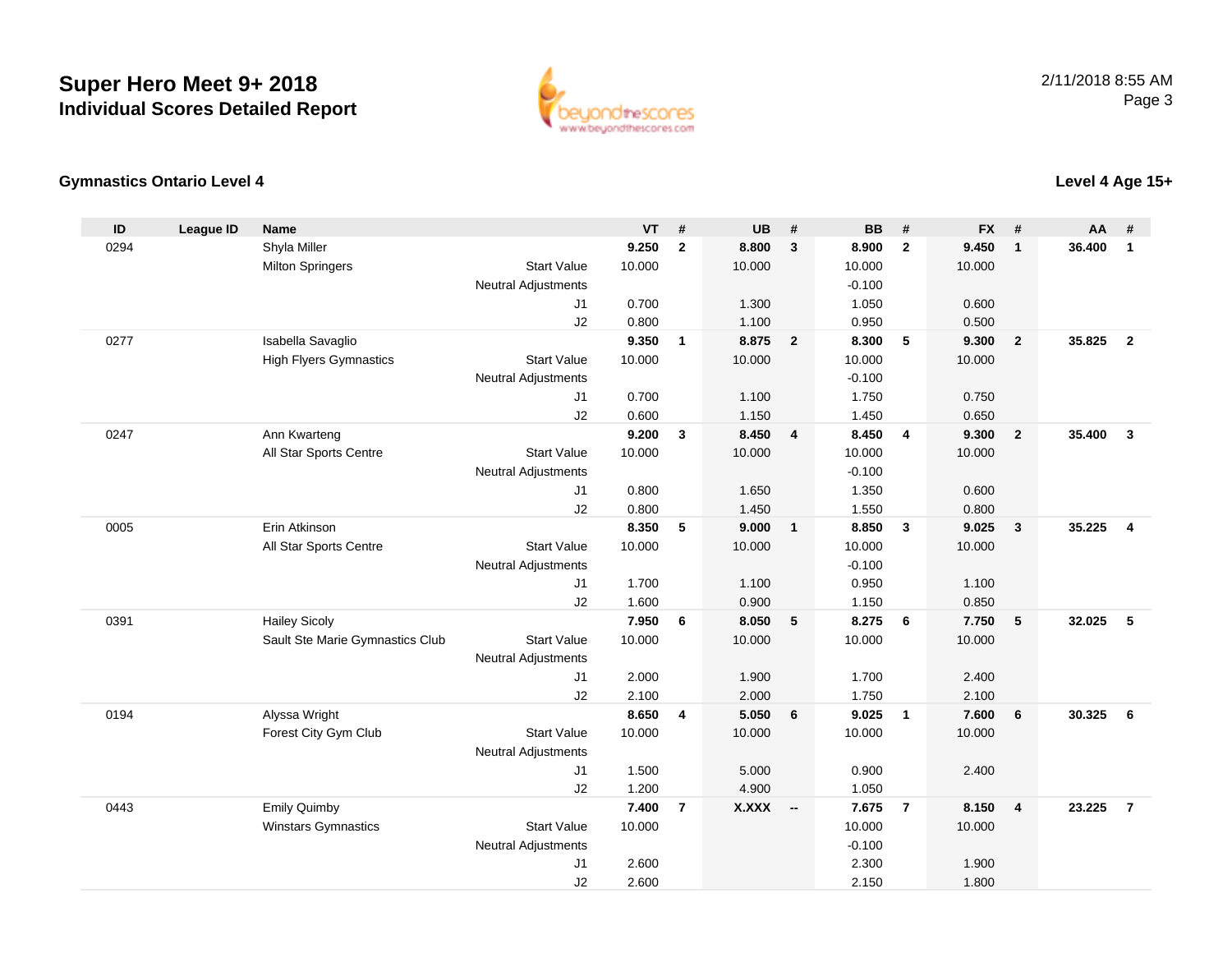

## **Gymnastics Ontario Level 4**

| ID   | <b>League ID</b> | <b>Name</b>                     |                            | <b>VT</b> | #              | <b>UB</b>    | #                       | <b>BB</b> | #                       | <b>FX</b> | #               | AA     | #              |
|------|------------------|---------------------------------|----------------------------|-----------|----------------|--------------|-------------------------|-----------|-------------------------|-----------|-----------------|--------|----------------|
| 0294 |                  | Shyla Miller                    |                            | 9.250     | $\overline{2}$ | 8.800        | $\mathbf{3}$            | 8.900     | $\overline{2}$          | 9.450     | $\mathbf{1}$    | 36,400 | $\mathbf{1}$   |
|      |                  | <b>Milton Springers</b>         | <b>Start Value</b>         | 10.000    |                | 10.000       |                         | 10.000    |                         | 10.000    |                 |        |                |
|      |                  |                                 | <b>Neutral Adjustments</b> |           |                |              |                         | $-0.100$  |                         |           |                 |        |                |
|      |                  |                                 | J1                         | 0.700     |                | 1.300        |                         | 1.050     |                         | 0.600     |                 |        |                |
|      |                  |                                 | J2                         | 0.800     |                | 1.100        |                         | 0.950     |                         | 0.500     |                 |        |                |
| 0277 |                  | Isabella Savaglio               |                            | 9.350     | $\mathbf{1}$   | 8.875        | $\overline{\mathbf{2}}$ | 8.300     | 5                       | 9.300     | $\overline{2}$  | 35.825 | $\overline{2}$ |
|      |                  | <b>High Flyers Gymnastics</b>   | <b>Start Value</b>         | 10.000    |                | 10.000       |                         | 10.000    |                         | 10.000    |                 |        |                |
|      |                  |                                 | <b>Neutral Adjustments</b> |           |                |              |                         | $-0.100$  |                         |           |                 |        |                |
|      |                  |                                 | J1                         | 0.700     |                | 1.100        |                         | 1.750     |                         | 0.750     |                 |        |                |
|      |                  |                                 | J2                         | 0.600     |                | 1.150        |                         | 1.450     |                         | 0.650     |                 |        |                |
| 0247 |                  | Ann Kwarteng                    |                            | 9.200     | $\mathbf{3}$   | 8.450        | $\overline{4}$          | 8.450     | $\overline{\mathbf{4}}$ | 9.300     | $\overline{2}$  | 35.400 | $\mathbf{3}$   |
|      |                  | All Star Sports Centre          | <b>Start Value</b>         | 10.000    |                | 10.000       |                         | 10.000    |                         | 10.000    |                 |        |                |
|      |                  |                                 | <b>Neutral Adjustments</b> |           |                |              |                         | $-0.100$  |                         |           |                 |        |                |
|      |                  |                                 | J <sub>1</sub>             | 0.800     |                | 1.650        |                         | 1.350     |                         | 0.600     |                 |        |                |
|      |                  |                                 | J2                         | 0.800     |                | 1.450        |                         | 1.550     |                         | 0.800     |                 |        |                |
| 0005 |                  | Erin Atkinson                   |                            | 8.350     | 5              | 9.000        | $\overline{1}$          | 8.850     | $\mathbf{3}$            | 9.025     | $\mathbf{3}$    | 35.225 | $\overline{4}$ |
|      |                  | All Star Sports Centre          | <b>Start Value</b>         | 10.000    |                | 10.000       |                         | 10.000    |                         | 10.000    |                 |        |                |
|      |                  |                                 | <b>Neutral Adjustments</b> |           |                |              |                         | $-0.100$  |                         |           |                 |        |                |
|      |                  |                                 | J <sub>1</sub>             | 1.700     |                | 1.100        |                         | 0.950     |                         | 1.100     |                 |        |                |
|      |                  |                                 | J2                         | 1.600     |                | 0.900        |                         | 1.150     |                         | 0.850     |                 |        |                |
| 0391 |                  | <b>Hailey Sicoly</b>            |                            | 7.950     | 6              | 8.050        | 5                       | 8.275     | 6                       | 7.750     | $5\phantom{.0}$ | 32.025 | 5              |
|      |                  | Sault Ste Marie Gymnastics Club | <b>Start Value</b>         | 10.000    |                | 10.000       |                         | 10.000    |                         | 10.000    |                 |        |                |
|      |                  |                                 | <b>Neutral Adjustments</b> |           |                |              |                         |           |                         |           |                 |        |                |
|      |                  |                                 | J1                         | 2.000     |                | 1.900        |                         | 1.700     |                         | 2.400     |                 |        |                |
|      |                  |                                 | J2                         | 2.100     |                | 2.000        |                         | 1.750     |                         | 2.100     |                 |        |                |
| 0194 |                  | Alyssa Wright                   |                            | 8.650     | 4              | 5.050        | 6                       | 9.025     | $\overline{\mathbf{1}}$ | 7.600     | $6\phantom{1}6$ | 30.325 | 6              |
|      |                  | Forest City Gym Club            | <b>Start Value</b>         | 10.000    |                | 10.000       |                         | 10.000    |                         | 10.000    |                 |        |                |
|      |                  |                                 | <b>Neutral Adjustments</b> |           |                |              |                         |           |                         |           |                 |        |                |
|      |                  |                                 | J1                         | 1.500     |                | 5.000        |                         | 0.900     |                         | 2.400     |                 |        |                |
|      |                  |                                 | J2                         | 1.200     |                | 4.900        |                         | 1.050     |                         |           |                 |        |                |
| 0443 |                  | <b>Emily Quimby</b>             |                            | 7.400     | $\overline{7}$ | <b>X.XXX</b> | $\sim$                  | 7.675     | $\overline{7}$          | 8.150     | $\overline{4}$  | 23.225 | $\overline{7}$ |
|      |                  | <b>Winstars Gymnastics</b>      | <b>Start Value</b>         | 10.000    |                |              |                         | 10.000    |                         | 10.000    |                 |        |                |
|      |                  |                                 | <b>Neutral Adjustments</b> |           |                |              |                         | $-0.100$  |                         |           |                 |        |                |
|      |                  |                                 | J <sub>1</sub>             | 2.600     |                |              |                         | 2.300     |                         | 1.900     |                 |        |                |
|      |                  |                                 | J2                         | 2.600     |                |              |                         | 2.150     |                         | 1.800     |                 |        |                |

## **Level 4 Age 15+**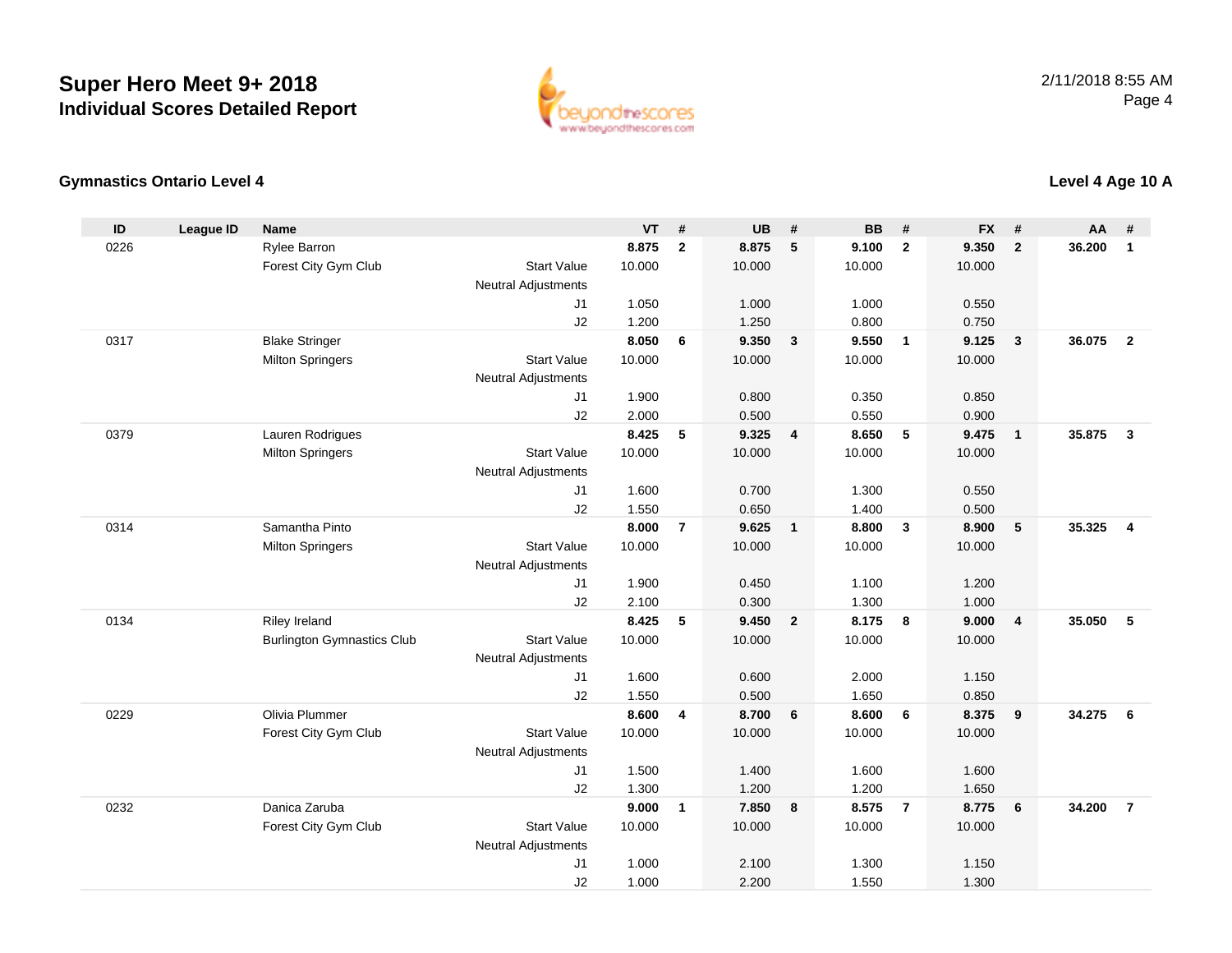

## **Gymnastics Ontario Level 4**

| ID   | <b>League ID</b> | <b>Name</b>                       |                            | <b>VT</b> | #              | <b>UB</b> | #                       | <b>BB</b> | #              | <b>FX</b> | #                       | AA     | #              |
|------|------------------|-----------------------------------|----------------------------|-----------|----------------|-----------|-------------------------|-----------|----------------|-----------|-------------------------|--------|----------------|
| 0226 |                  | Rylee Barron                      |                            | 8.875     | $\overline{2}$ | 8.875     | 5                       | 9.100     | $\overline{2}$ | 9.350     | $\overline{2}$          | 36.200 | $\mathbf{1}$   |
|      |                  | Forest City Gym Club              | <b>Start Value</b>         | 10.000    |                | 10.000    |                         | 10.000    |                | 10.000    |                         |        |                |
|      |                  |                                   | <b>Neutral Adjustments</b> |           |                |           |                         |           |                |           |                         |        |                |
|      |                  |                                   | J1                         | 1.050     |                | 1.000     |                         | 1.000     |                | 0.550     |                         |        |                |
|      |                  |                                   | J2                         | 1.200     |                | 1.250     |                         | 0.800     |                | 0.750     |                         |        |                |
| 0317 |                  | <b>Blake Stringer</b>             |                            | 8.050     | 6              | 9.350     | $\overline{\mathbf{3}}$ | 9.550     | $\overline{1}$ | 9.125     | $\mathbf{3}$            | 36.075 | $\overline{2}$ |
|      |                  | <b>Milton Springers</b>           | <b>Start Value</b>         | 10.000    |                | 10.000    |                         | 10.000    |                | 10.000    |                         |        |                |
|      |                  |                                   | <b>Neutral Adjustments</b> |           |                |           |                         |           |                |           |                         |        |                |
|      |                  |                                   | J1                         | 1.900     |                | 0.800     |                         | 0.350     |                | 0.850     |                         |        |                |
|      |                  |                                   | J2                         | 2.000     |                | 0.500     |                         | 0.550     |                | 0.900     |                         |        |                |
| 0379 |                  | Lauren Rodrigues                  |                            | 8.425     | 5              | 9.325     | $\overline{4}$          | 8.650     | $\sqrt{5}$     | 9.475     | $\mathbf{1}$            | 35.875 | $\mathbf{3}$   |
|      |                  | <b>Milton Springers</b>           | <b>Start Value</b>         | 10.000    |                | 10.000    |                         | 10.000    |                | 10.000    |                         |        |                |
|      |                  |                                   | <b>Neutral Adjustments</b> |           |                |           |                         |           |                |           |                         |        |                |
|      |                  |                                   | J <sub>1</sub>             | 1.600     |                | 0.700     |                         | 1.300     |                | 0.550     |                         |        |                |
|      |                  |                                   | J2                         | 1.550     |                | 0.650     |                         | 1.400     |                | 0.500     |                         |        |                |
| 0314 |                  | Samantha Pinto                    |                            | 8.000     | $\overline{7}$ | 9.625     | $\overline{1}$          | 8.800     | $\mathbf{3}$   | 8.900     | 5                       | 35.325 | $\overline{4}$ |
|      |                  | <b>Milton Springers</b>           | <b>Start Value</b>         | 10.000    |                | 10.000    |                         | 10.000    |                | 10.000    |                         |        |                |
|      |                  |                                   | <b>Neutral Adjustments</b> |           |                |           |                         |           |                |           |                         |        |                |
|      |                  |                                   | J <sub>1</sub>             | 1.900     |                | 0.450     |                         | 1.100     |                | 1.200     |                         |        |                |
|      |                  |                                   | J2                         | 2.100     |                | 0.300     |                         | 1.300     |                | 1.000     |                         |        |                |
| 0134 |                  | Riley Ireland                     |                            | 8.425     | 5              | 9.450     | $\overline{\mathbf{2}}$ | 8.175     | 8              | 9.000     | $\overline{\mathbf{4}}$ | 35.050 | 5              |
|      |                  | <b>Burlington Gymnastics Club</b> | <b>Start Value</b>         | 10.000    |                | 10.000    |                         | 10.000    |                | 10.000    |                         |        |                |
|      |                  |                                   | <b>Neutral Adjustments</b> |           |                |           |                         |           |                |           |                         |        |                |
|      |                  |                                   | J1                         | 1.600     |                | 0.600     |                         | 2.000     |                | 1.150     |                         |        |                |
|      |                  |                                   | J2                         | 1.550     |                | 0.500     |                         | 1.650     |                | 0.850     |                         |        |                |
| 0229 |                  | Olivia Plummer                    |                            | 8.600     | 4              | 8.700     | $6\phantom{1}6$         | 8.600     | 6              | 8.375     | 9                       | 34.275 | 6              |
|      |                  | Forest City Gym Club              | <b>Start Value</b>         | 10.000    |                | 10.000    |                         | 10.000    |                | 10.000    |                         |        |                |
|      |                  |                                   | <b>Neutral Adjustments</b> |           |                |           |                         |           |                |           |                         |        |                |
|      |                  |                                   | J1                         | 1.500     |                | 1.400     |                         | 1.600     |                | 1.600     |                         |        |                |
|      |                  |                                   | J2                         | 1.300     |                | 1.200     |                         | 1.200     |                | 1.650     |                         |        |                |
| 0232 |                  | Danica Zaruba                     |                            | 9.000     | $\mathbf{1}$   | 7.850     | $\overline{\mathbf{8}}$ | 8.575     | $\overline{7}$ | 8.775     | 6                       | 34.200 | $\overline{7}$ |
|      |                  | Forest City Gym Club              | <b>Start Value</b>         | 10.000    |                | 10.000    |                         | 10.000    |                | 10.000    |                         |        |                |
|      |                  |                                   | <b>Neutral Adjustments</b> |           |                |           |                         |           |                |           |                         |        |                |
|      |                  |                                   | J1                         | 1.000     |                | 2.100     |                         | 1.300     |                | 1.150     |                         |        |                |
|      |                  |                                   | J2                         | 1.000     |                | 2.200     |                         | 1.550     |                | 1.300     |                         |        |                |

**Level 4 Age 10 A**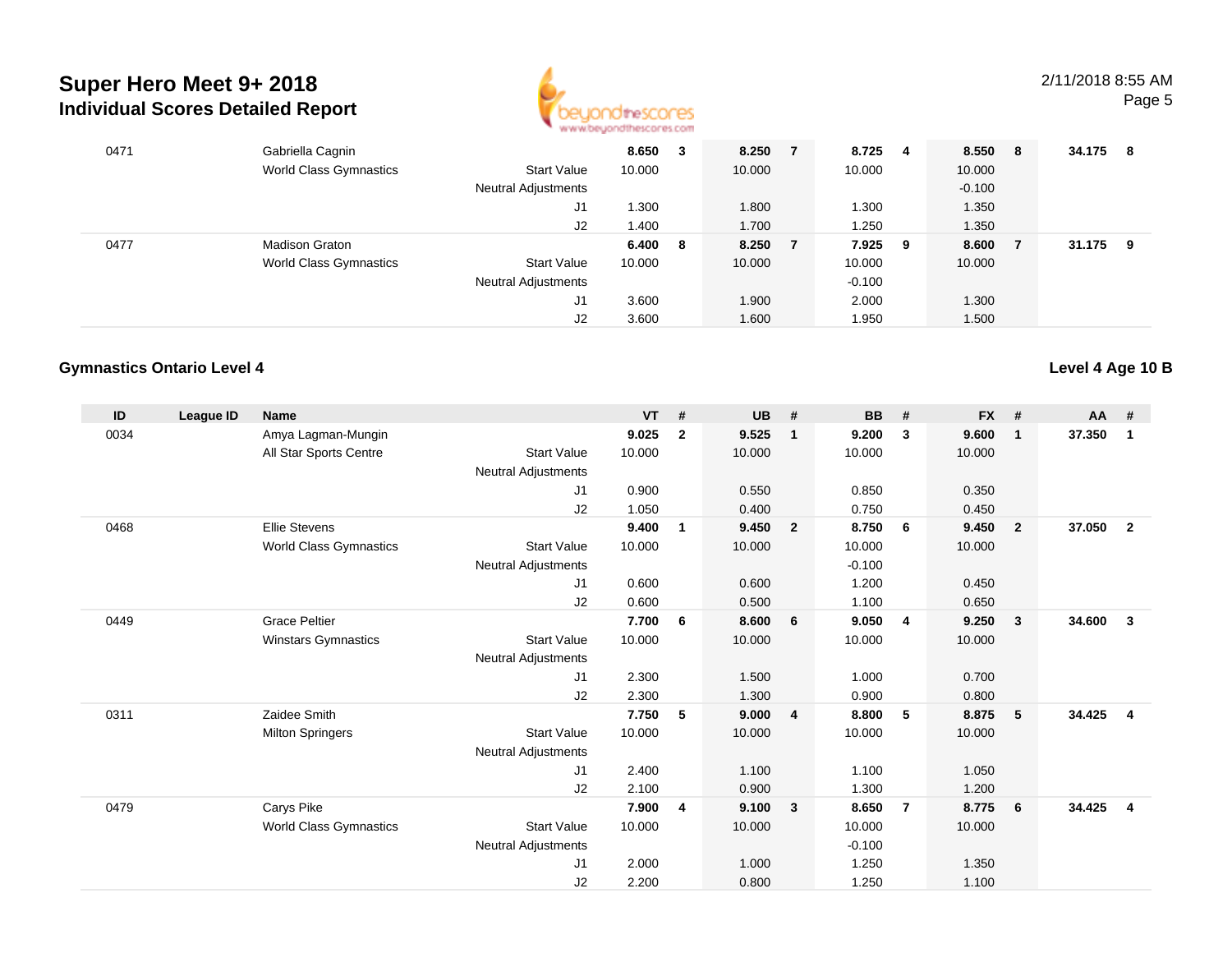

| 0471 | Gabriella Cagnin              |                            | 8.650  | 3  | 8.250  |   | 8.725 4  |   | 8.550 8  | 34.175 | - 8 |
|------|-------------------------------|----------------------------|--------|----|--------|---|----------|---|----------|--------|-----|
|      | <b>World Class Gymnastics</b> | <b>Start Value</b>         | 10.000 |    | 10.000 |   | 10.000   |   | 10.000   |        |     |
|      |                               | Neutral Adjustments        |        |    |        |   |          |   | $-0.100$ |        |     |
|      |                               | J1                         | 1.300  |    | 1.800  |   | 1.300    |   | 1.350    |        |     |
|      |                               | J2                         | 1.400  |    | 1.700  |   | 1.250    |   | 1.350    |        |     |
| 0477 | <b>Madison Graton</b>         |                            | 6.400  | -8 | 8.250  | 7 | 7.925    | 9 | 8.600    | 31.175 | - 9 |
|      | <b>World Class Gymnastics</b> | <b>Start Value</b>         | 10.000 |    | 10.000 |   | 10.000   |   | 10.000   |        |     |
|      |                               | <b>Neutral Adjustments</b> |        |    |        |   | $-0.100$ |   |          |        |     |
|      |                               | J1                         | 3.600  |    | 1.900  |   | 2.000    |   | 1.300    |        |     |
|      |                               | J2                         | 3.600  |    | 1.600  |   | 1.950    |   | 1.500    |        |     |

## **Gymnastics Ontario Level 4**

| ID   | League ID | <b>Name</b>                   |                            | <b>VT</b> | #            | <b>UB</b> | #                       | <b>BB</b> | #              | <b>FX</b> | #              | <b>AA</b> | #                       |
|------|-----------|-------------------------------|----------------------------|-----------|--------------|-----------|-------------------------|-----------|----------------|-----------|----------------|-----------|-------------------------|
| 0034 |           | Amya Lagman-Mungin            |                            | 9.025     | $\mathbf{2}$ | 9.525     | $\mathbf{1}$            | 9.200     | $\mathbf{3}$   | 9.600     | $\mathbf{1}$   | 37.350    | 1                       |
|      |           | All Star Sports Centre        | <b>Start Value</b>         | 10.000    |              | 10.000    |                         | 10.000    |                | 10.000    |                |           |                         |
|      |           |                               | <b>Neutral Adjustments</b> |           |              |           |                         |           |                |           |                |           |                         |
|      |           |                               | J <sub>1</sub>             | 0.900     |              | 0.550     |                         | 0.850     |                | 0.350     |                |           |                         |
|      |           |                               | J2                         | 1.050     |              | 0.400     |                         | 0.750     |                | 0.450     |                |           |                         |
| 0468 |           | <b>Ellie Stevens</b>          |                            | 9.400     | $\mathbf{1}$ | 9.450     | $\overline{\mathbf{2}}$ | 8.750     | - 6            | 9.450     | $\overline{2}$ | 37.050    | $\overline{2}$          |
|      |           | <b>World Class Gymnastics</b> | <b>Start Value</b>         | 10.000    |              | 10.000    |                         | 10.000    |                | 10.000    |                |           |                         |
|      |           |                               | <b>Neutral Adjustments</b> |           |              |           |                         | $-0.100$  |                |           |                |           |                         |
|      |           |                               | J1                         | 0.600     |              | 0.600     |                         | 1.200     |                | 0.450     |                |           |                         |
|      |           |                               | J2                         | 0.600     |              | 0.500     |                         | 1.100     |                | 0.650     |                |           |                         |
| 0449 |           | <b>Grace Peltier</b>          |                            | 7.700     | 6            | 8.600     | 6                       | 9.050     | $\overline{4}$ | 9.250     | 3              | 34.600    | $\mathbf{3}$            |
|      |           | Winstars Gymnastics           | <b>Start Value</b>         | 10.000    |              | 10.000    |                         | 10.000    |                | 10.000    |                |           |                         |
|      |           |                               | <b>Neutral Adjustments</b> |           |              |           |                         |           |                |           |                |           |                         |
|      |           |                               | J <sub>1</sub>             | 2.300     |              | 1.500     |                         | 1.000     |                | 0.700     |                |           |                         |
|      |           |                               | J2                         | 2.300     |              | 1.300     |                         | 0.900     |                | 0.800     |                |           |                         |
| 0311 |           | Zaidee Smith                  |                            | 7.750     | 5            | 9.000     | $\overline{4}$          | 8.800     | 5              | 8.875     | 5              | 34.425    | $\overline{\mathbf{4}}$ |
|      |           | <b>Milton Springers</b>       | <b>Start Value</b>         | 10.000    |              | 10.000    |                         | 10.000    |                | 10.000    |                |           |                         |
|      |           |                               | <b>Neutral Adjustments</b> |           |              |           |                         |           |                |           |                |           |                         |
|      |           |                               | J1                         | 2.400     |              | 1.100     |                         | 1.100     |                | 1.050     |                |           |                         |
|      |           |                               | J2                         | 2.100     |              | 0.900     |                         | 1.300     |                | 1.200     |                |           |                         |
| 0479 |           | Carys Pike                    |                            | 7.900     | 4            | 9.100     | $\overline{\mathbf{3}}$ | 8.650     | $\overline{7}$ | 8.775     | 6              | 34.425    | $\overline{4}$          |
|      |           | <b>World Class Gymnastics</b> | <b>Start Value</b>         | 10.000    |              | 10.000    |                         | 10.000    |                | 10.000    |                |           |                         |
|      |           |                               | <b>Neutral Adjustments</b> |           |              |           |                         | $-0.100$  |                |           |                |           |                         |
|      |           |                               | J1                         | 2.000     |              | 1.000     |                         | 1.250     |                | 1.350     |                |           |                         |
|      |           |                               | J <sub>2</sub>             | 2.200     |              | 0.800     |                         | 1.250     |                | 1.100     |                |           |                         |

**Level 4 Age 10 B**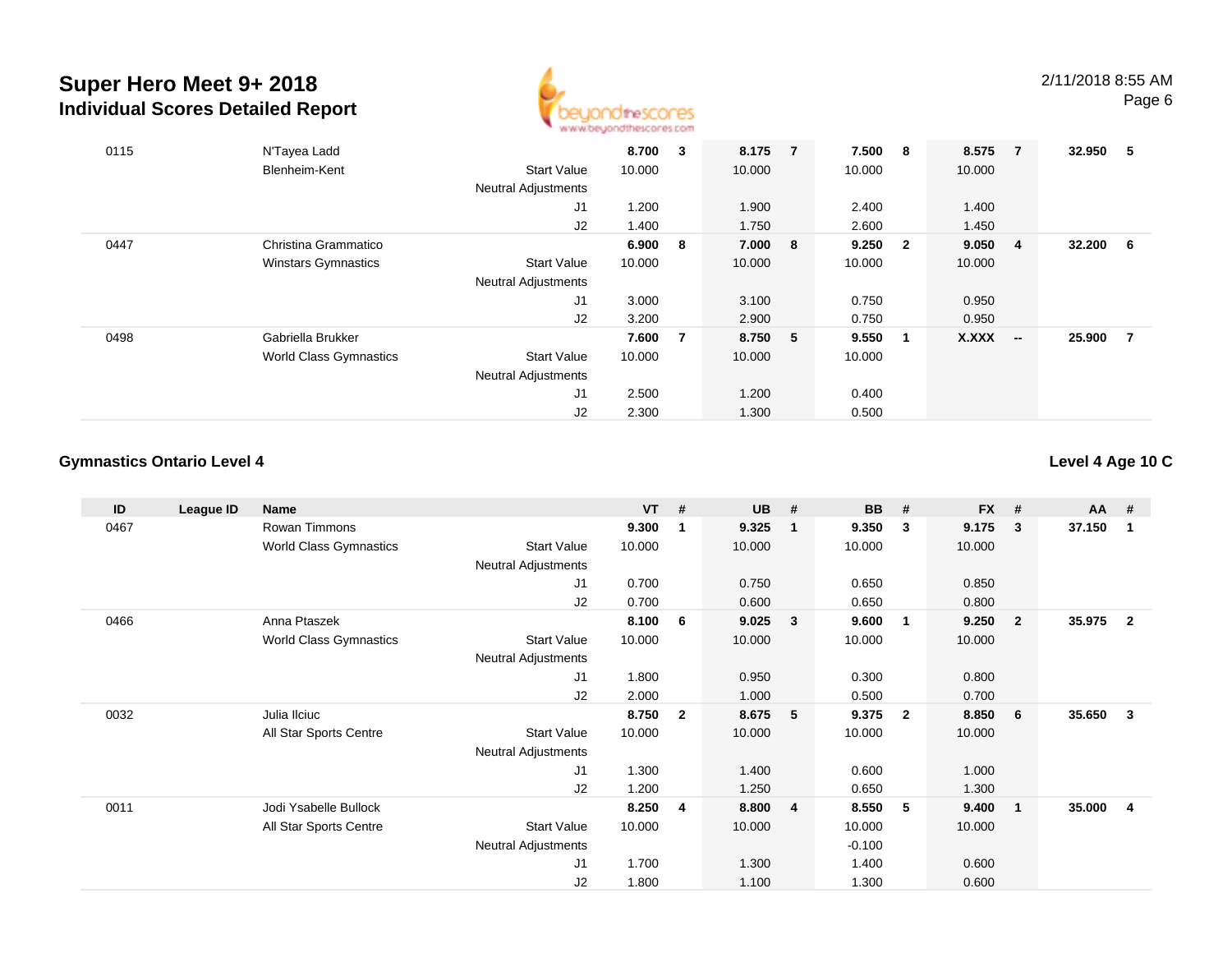

| 0115 | N'Tayea Ladd                  |                            | 8.700   | 3  | 8.175   | $\overline{7}$ | 7.500     | 8   | 8.575  | $\overline{7}$           | 32.950 | 5   |
|------|-------------------------------|----------------------------|---------|----|---------|----------------|-----------|-----|--------|--------------------------|--------|-----|
|      | Blenheim-Kent                 | <b>Start Value</b>         | 10.000  |    | 10.000  |                | 10.000    |     | 10.000 |                          |        |     |
|      |                               | <b>Neutral Adjustments</b> |         |    |         |                |           |     |        |                          |        |     |
|      |                               | J1                         | 1.200   |    | 1.900   |                | 2.400     |     | 1.400  |                          |        |     |
|      |                               | J2                         | 1.400   |    | 1.750   |                | 2.600     |     | 1.450  |                          |        |     |
| 0447 | Christina Grammatico          |                            | 6.900 8 |    | 7.000   | 8              | $9.250$ 2 |     | 9.050  | -4                       | 32.200 | - 6 |
|      | <b>Winstars Gymnastics</b>    | <b>Start Value</b>         | 10.000  |    | 10.000  |                | 10.000    |     | 10.000 |                          |        |     |
|      |                               | <b>Neutral Adjustments</b> |         |    |         |                |           |     |        |                          |        |     |
|      |                               | J1                         | 3.000   |    | 3.100   |                | 0.750     |     | 0.950  |                          |        |     |
|      |                               | J2                         | 3.200   |    | 2.900   |                | 0.750     |     | 0.950  |                          |        |     |
| 0498 | Gabriella Brukker             |                            | 7.600   | -7 | 8.750 5 |                | 9.550     | - 1 | X.XXX  | $\overline{\phantom{a}}$ | 25.900 | 7   |
|      | <b>World Class Gymnastics</b> | Start Value                | 10.000  |    | 10.000  |                | 10.000    |     |        |                          |        |     |
|      |                               | <b>Neutral Adjustments</b> |         |    |         |                |           |     |        |                          |        |     |
|      |                               | J <sub>1</sub>             | 2.500   |    | 1.200   |                | 0.400     |     |        |                          |        |     |
|      |                               | J2                         | 2.300   |    | 1.300   |                | 0.500     |     |        |                          |        |     |

## **Gymnastics Ontario Level 4**

**Level 4 Age 10 C**

| ID   | League ID | Name                          |                     | <b>VT</b> | #            | <b>UB</b> | #                       | <b>BB</b> | #              | <b>FX</b> | #              | AA     | #              |
|------|-----------|-------------------------------|---------------------|-----------|--------------|-----------|-------------------------|-----------|----------------|-----------|----------------|--------|----------------|
| 0467 |           | Rowan Timmons                 |                     | 9.300     | 1            | 9.325     | $\mathbf{1}$            | 9.350     | $\mathbf{3}$   | 9.175     | $_{3}$         | 37.150 | -1             |
|      |           | <b>World Class Gymnastics</b> | <b>Start Value</b>  | 10.000    |              | 10.000    |                         | 10.000    |                | 10.000    |                |        |                |
|      |           |                               | Neutral Adjustments |           |              |           |                         |           |                |           |                |        |                |
|      |           |                               | J1                  | 0.700     |              | 0.750     |                         | 0.650     |                | 0.850     |                |        |                |
|      |           |                               | J2                  | 0.700     |              | 0.600     |                         | 0.650     |                | 0.800     |                |        |                |
| 0466 |           | Anna Ptaszek                  |                     | 8.100     | 6            | 9.025     | 3                       | 9.600     | 1              | 9.250     | $\overline{2}$ | 35.975 | $\overline{2}$ |
|      |           | World Class Gymnastics        | <b>Start Value</b>  | 10.000    |              | 10.000    |                         | 10.000    |                | 10.000    |                |        |                |
|      |           |                               | Neutral Adjustments |           |              |           |                         |           |                |           |                |        |                |
|      |           |                               | J1                  | 1.800     |              | 0.950     |                         | 0.300     |                | 0.800     |                |        |                |
|      |           |                               | J2                  | 2.000     |              | 1.000     |                         | 0.500     |                | 0.700     |                |        |                |
| 0032 |           | Julia Ilciuc                  |                     | 8.750     | $\mathbf{2}$ | 8.675     | 5                       | 9.375     | $\overline{2}$ | 8.850     | 6              | 35.650 | -3             |
|      |           | All Star Sports Centre        | <b>Start Value</b>  | 10.000    |              | 10.000    |                         | 10.000    |                | 10.000    |                |        |                |
|      |           |                               | Neutral Adjustments |           |              |           |                         |           |                |           |                |        |                |
|      |           |                               | J1                  | 1.300     |              | 1.400     |                         | 0.600     |                | 1.000     |                |        |                |
|      |           |                               | J2                  | 1.200     |              | 1.250     |                         | 0.650     |                | 1.300     |                |        |                |
| 0011 |           | Jodi Ysabelle Bullock         |                     | 8.250     | 4            | 8.800     | $\overline{\mathbf{4}}$ | 8.550     | 5              | 9.400     | $\blacksquare$ | 35.000 | -4             |
|      |           | All Star Sports Centre        | <b>Start Value</b>  | 10.000    |              | 10.000    |                         | 10.000    |                | 10.000    |                |        |                |
|      |           |                               | Neutral Adjustments |           |              |           |                         | $-0.100$  |                |           |                |        |                |
|      |           |                               | J1                  | 1.700     |              | 1.300     |                         | 1.400     |                | 0.600     |                |        |                |
|      |           |                               | J2                  | 1.800     |              | 1.100     |                         | 1.300     |                | 0.600     |                |        |                |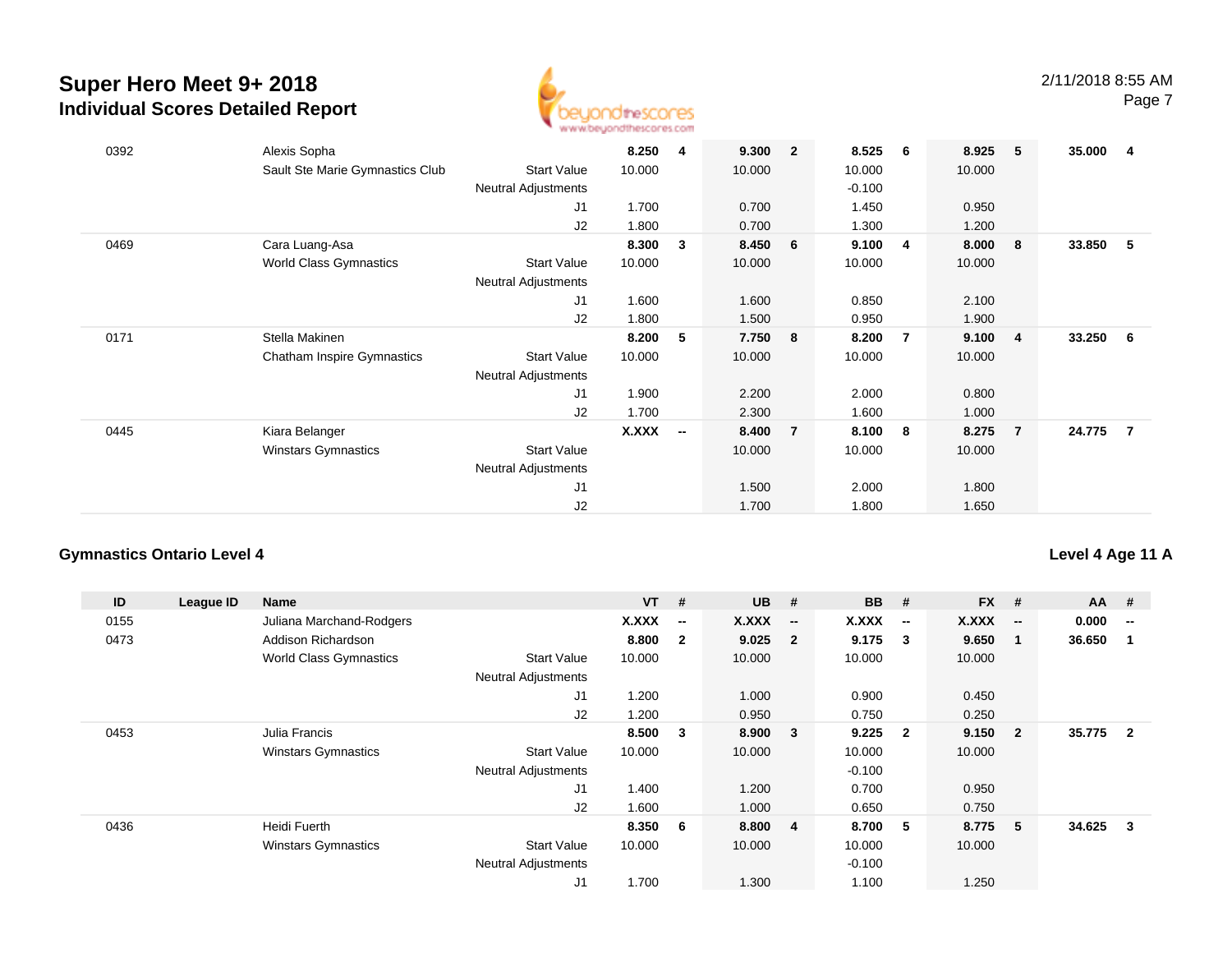

| 0392 | Alexis Sopha<br>Sault Ste Marie Gymnastics Club     | <b>Start Value</b><br>Neutral Adjustments<br>J1<br>J2                    | 8.250<br>10.000<br>1.700<br>1.800 | -4                       | 9.300<br>10.000<br>0.700<br>0.700 | $\overline{2}$ | 8.525<br>10.000<br>$-0.100$<br>1.450<br>1.300 | - 6            | 8.925<br>10.000<br>0.950<br>1.200 | - 5                     | 35.000 | -4  |
|------|-----------------------------------------------------|--------------------------------------------------------------------------|-----------------------------------|--------------------------|-----------------------------------|----------------|-----------------------------------------------|----------------|-----------------------------------|-------------------------|--------|-----|
| 0469 | Cara Luang-Asa<br><b>World Class Gymnastics</b>     | <b>Start Value</b><br><b>Neutral Adjustments</b><br>J1<br>J2             | 8.300<br>10.000<br>1.600<br>1.800 | 3                        | 8.450<br>10.000<br>1.600<br>1.500 | 6              | 9.100<br>10.000<br>0.850<br>0.950             | $\overline{4}$ | 8.000<br>10.000<br>2.100<br>1.900 | - 8                     | 33.850 | -5  |
| 0171 | Stella Makinen<br><b>Chatham Inspire Gymnastics</b> | <b>Start Value</b><br><b>Neutral Adjustments</b><br>J <sub>1</sub><br>J2 | 8.200<br>10.000<br>1.900<br>1.700 | 5                        | 7.750<br>10.000<br>2.200<br>2.300 | 8              | 8.200<br>10.000<br>2.000<br>1.600             | $\overline{7}$ | 9.100<br>10.000<br>0.800<br>1.000 | $\overline{\mathbf{4}}$ | 33.250 | - 6 |
| 0445 | Kiara Belanger<br><b>Winstars Gymnastics</b>        | <b>Start Value</b><br>Neutral Adjustments<br>J <sub>1</sub><br>J2        | X.XXX                             | $\overline{\phantom{a}}$ | 8.400<br>10.000<br>1.500<br>1.700 | $\overline{7}$ | 8.100<br>10.000<br>2.000<br>1.800             | - 8            | 8.275<br>10.000<br>1.800<br>1.650 | $\overline{7}$          | 24.775 | -7  |

## **Gymnastics Ontario Level 4**

## **Level 4 Age 11 A**

| ID   | League ID | Name                          |                            | $VT$ # |                          | <b>UB</b> | #                        | <b>BB</b>    | #                        | <b>FX</b> | #                        | <b>AA</b> | #                        |
|------|-----------|-------------------------------|----------------------------|--------|--------------------------|-----------|--------------------------|--------------|--------------------------|-----------|--------------------------|-----------|--------------------------|
| 0155 |           | Juliana Marchand-Rodgers      |                            | X.XXX  | $\overline{\phantom{a}}$ | X.XXX     | $\overline{\phantom{a}}$ | <b>X.XXX</b> | $\overline{\phantom{a}}$ | X.XXX     | $\overline{\phantom{a}}$ | 0.000     | $\overline{\phantom{a}}$ |
| 0473 |           | Addison Richardson            |                            | 8.800  | $\overline{2}$           | 9.025     | $\overline{2}$           | 9.175        | 3                        | 9.650     | -1                       | 36.650    |                          |
|      |           | <b>World Class Gymnastics</b> | <b>Start Value</b>         | 10.000 |                          | 10.000    |                          | 10.000       |                          | 10.000    |                          |           |                          |
|      |           |                               | <b>Neutral Adjustments</b> |        |                          |           |                          |              |                          |           |                          |           |                          |
|      |           |                               | J1                         | 1.200  |                          | 1.000     |                          | 0.900        |                          | 0.450     |                          |           |                          |
|      |           |                               | J2                         | 1.200  |                          | 0.950     |                          | 0.750        |                          | 0.250     |                          |           |                          |
| 0453 |           | Julia Francis                 |                            | 8.500  | 3                        | 8.900     | $\overline{\mathbf{3}}$  | 9.225        | $\overline{\mathbf{2}}$  | 9.150     | $\overline{\mathbf{2}}$  | 35.775    | $\overline{2}$           |
|      |           | <b>Winstars Gymnastics</b>    | <b>Start Value</b>         | 10.000 |                          | 10.000    |                          | 10.000       |                          | 10.000    |                          |           |                          |
|      |           |                               | <b>Neutral Adjustments</b> |        |                          |           |                          | $-0.100$     |                          |           |                          |           |                          |
|      |           |                               | J <sub>1</sub>             | 1.400  |                          | 1.200     |                          | 0.700        |                          | 0.950     |                          |           |                          |
|      |           |                               | J2                         | 1.600  |                          | 1.000     |                          | 0.650        |                          | 0.750     |                          |           |                          |
| 0436 |           | Heidi Fuerth                  |                            | 8.350  | 6                        | 8.800     | $\overline{4}$           | 8.700        | - 5                      | 8.775     | -5                       | 34.625    | 3                        |
|      |           | <b>Winstars Gymnastics</b>    | <b>Start Value</b>         | 10.000 |                          | 10.000    |                          | 10.000       |                          | 10.000    |                          |           |                          |
|      |           |                               | <b>Neutral Adjustments</b> |        |                          |           |                          | $-0.100$     |                          |           |                          |           |                          |
|      |           |                               | J1                         | 1.700  |                          | 1.300     |                          | 1.100        |                          | 1.250     |                          |           |                          |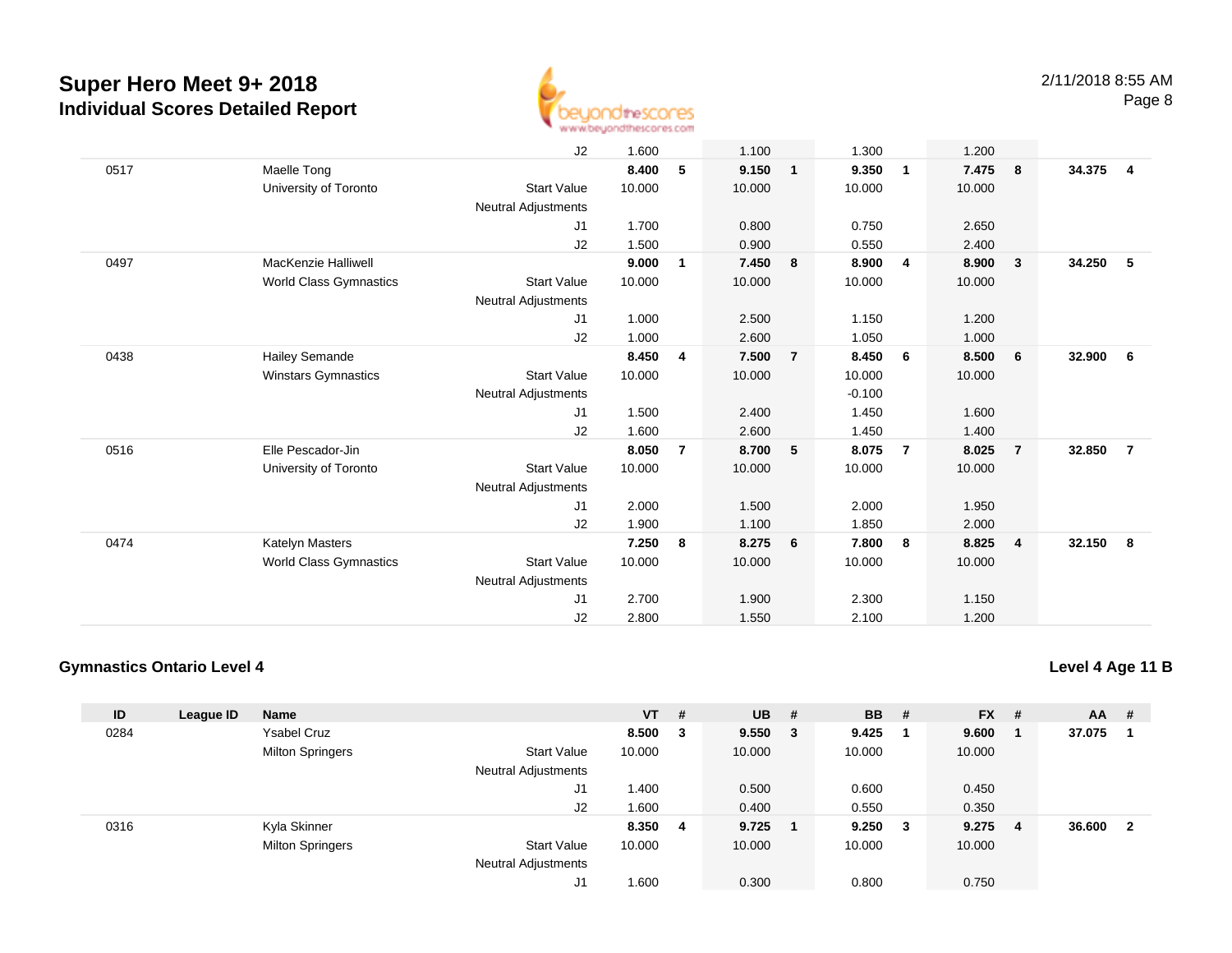

|      |                               | J2                         | 1.600  |   | 1.100  |                | 1.300    |                | 1.200  |                         |        |                |
|------|-------------------------------|----------------------------|--------|---|--------|----------------|----------|----------------|--------|-------------------------|--------|----------------|
| 0517 | Maelle Tong                   |                            | 8.400  | 5 | 9.150  | $\mathbf{1}$   | 9.350    | $\mathbf{1}$   | 7.475  | $\overline{\mathbf{8}}$ | 34.375 | $\overline{4}$ |
|      | University of Toronto         | <b>Start Value</b>         | 10.000 |   | 10.000 |                | 10.000   |                | 10.000 |                         |        |                |
|      |                               | <b>Neutral Adjustments</b> |        |   |        |                |          |                |        |                         |        |                |
|      |                               | J1                         | 1.700  |   | 0.800  |                | 0.750    |                | 2.650  |                         |        |                |
|      |                               | J2                         | 1.500  |   | 0.900  |                | 0.550    |                | 2.400  |                         |        |                |
| 0497 | MacKenzie Halliwell           |                            | 9.000  | 1 | 7.450  | 8              | 8.900    | 4              | 8.900  | $\overline{\mathbf{3}}$ | 34.250 | - 5            |
|      | World Class Gymnastics        | <b>Start Value</b>         | 10.000 |   | 10.000 |                | 10.000   |                | 10.000 |                         |        |                |
|      |                               | <b>Neutral Adjustments</b> |        |   |        |                |          |                |        |                         |        |                |
|      |                               | J1                         | 1.000  |   | 2.500  |                | 1.150    |                | 1.200  |                         |        |                |
|      |                               | J2                         | 1.000  |   | 2.600  |                | 1.050    |                | 1.000  |                         |        |                |
| 0438 | <b>Hailey Semande</b>         |                            | 8.450  | 4 | 7.500  | $\overline{7}$ | 8.450    | 6              | 8.500  | - 6                     | 32.900 | - 6            |
|      | <b>Winstars Gymnastics</b>    | <b>Start Value</b>         | 10.000 |   | 10.000 |                | 10.000   |                | 10.000 |                         |        |                |
|      |                               | <b>Neutral Adjustments</b> |        |   |        |                | $-0.100$ |                |        |                         |        |                |
|      |                               | J1                         | 1.500  |   | 2.400  |                | 1.450    |                | 1.600  |                         |        |                |
|      |                               | J2                         | 1.600  |   | 2.600  |                | 1.450    |                | 1.400  |                         |        |                |
| 0516 | Elle Pescador-Jin             |                            | 8.050  | 7 | 8.700  | 5              | 8.075    | $\overline{7}$ | 8.025  | $\overline{7}$          | 32.850 | $\overline{7}$ |
|      | University of Toronto         | <b>Start Value</b>         | 10.000 |   | 10.000 |                | 10.000   |                | 10.000 |                         |        |                |
|      |                               | <b>Neutral Adjustments</b> |        |   |        |                |          |                |        |                         |        |                |
|      |                               | J1                         | 2.000  |   | 1.500  |                | 2.000    |                | 1.950  |                         |        |                |
|      |                               | J2                         | 1.900  |   | 1.100  |                | 1.850    |                | 2.000  |                         |        |                |
| 0474 | Katelyn Masters               |                            | 7.250  | 8 | 8.275  | 6              | 7.800    | 8              | 8.825  | $\overline{4}$          | 32.150 | - 8            |
|      | <b>World Class Gymnastics</b> | <b>Start Value</b>         | 10.000 |   | 10.000 |                | 10.000   |                | 10.000 |                         |        |                |
|      |                               | <b>Neutral Adjustments</b> |        |   |        |                |          |                |        |                         |        |                |
|      |                               | J1                         | 2.700  |   | 1.900  |                | 2.300    |                | 1.150  |                         |        |                |
|      |                               | J2                         | 2.800  |   | 1.550  |                | 2.100    |                | 1.200  |                         |        |                |

## **Gymnastics Ontario Level 4**

**Level 4 Age 11 B**

| ID   | League ID | <b>Name</b>             |                            | $VT$ # |   | <b>UB</b> | - #                     | <b>BB</b> | - # | <b>FX</b> | -# | <b>AA</b> | -# |
|------|-----------|-------------------------|----------------------------|--------|---|-----------|-------------------------|-----------|-----|-----------|----|-----------|----|
| 0284 |           | <b>Ysabel Cruz</b>      |                            | 8.500  | 3 | 9.550     | $\overline{\mathbf{3}}$ | 9.425     |     | 9.600     | -1 | 37.075    |    |
|      |           | <b>Milton Springers</b> | <b>Start Value</b>         | 10.000 |   | 10.000    |                         | 10.000    |     | 10.000    |    |           |    |
|      |           |                         | <b>Neutral Adjustments</b> |        |   |           |                         |           |     |           |    |           |    |
|      |           |                         | J1                         | 1.400  |   | 0.500     |                         | 0.600     |     | 0.450     |    |           |    |
|      |           |                         | J2                         | 1.600  |   | 0.400     |                         | 0.550     |     | 0.350     |    |           |    |
| 0316 |           | Kyla Skinner            |                            | 8.350  | 4 | 9.725     |                         | 9.250     | - 3 | 9.275     | -4 | 36.600    | -2 |
|      |           | <b>Milton Springers</b> | <b>Start Value</b>         | 10.000 |   | 10.000    |                         | 10.000    |     | 10.000    |    |           |    |
|      |           |                         | <b>Neutral Adjustments</b> |        |   |           |                         |           |     |           |    |           |    |
|      |           |                         | J1                         | 1.600  |   | 0.300     |                         | 0.800     |     | 0.750     |    |           |    |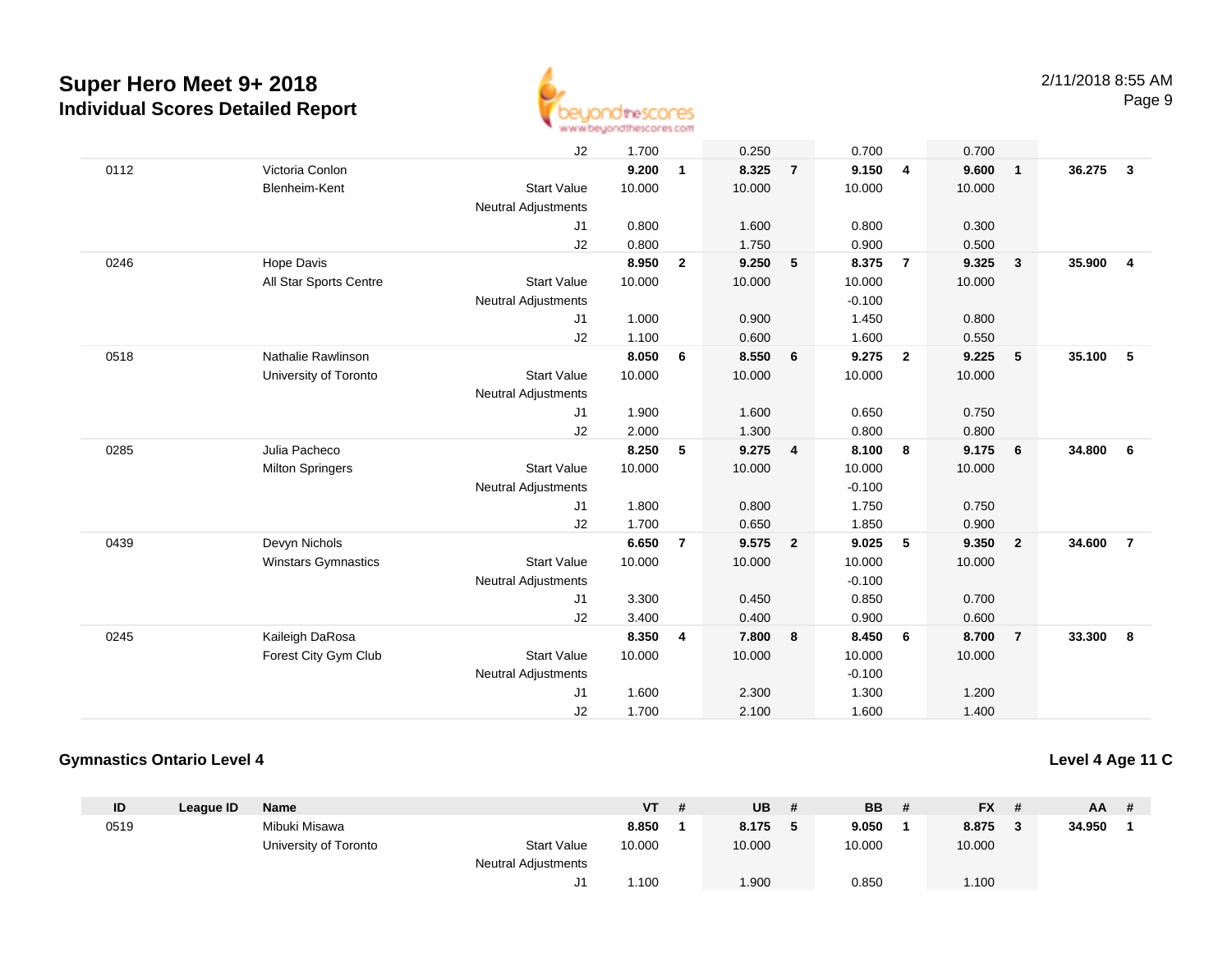

|      |                            | J2                         | 1.700  |                | 0.250  |                | 0.700    |                | 0.700  |                         |        |                |
|------|----------------------------|----------------------------|--------|----------------|--------|----------------|----------|----------------|--------|-------------------------|--------|----------------|
| 0112 | Victoria Conlon            |                            | 9.200  | $\mathbf{1}$   | 8.325  | $\overline{7}$ | 9.150    | $\overline{4}$ | 9.600  | $\overline{1}$          | 36.275 | $\mathbf{3}$   |
|      | Blenheim-Kent              | <b>Start Value</b>         | 10.000 |                | 10.000 |                | 10.000   |                | 10.000 |                         |        |                |
|      |                            | <b>Neutral Adjustments</b> |        |                |        |                |          |                |        |                         |        |                |
|      |                            | J1                         | 0.800  |                | 1.600  |                | 0.800    |                | 0.300  |                         |        |                |
|      |                            | J2                         | 0.800  |                | 1.750  |                | 0.900    |                | 0.500  |                         |        |                |
| 0246 | Hope Davis                 |                            | 8.950  | $\mathbf{2}$   | 9.250  | 5              | 8.375    | $\overline{7}$ | 9.325  | $\overline{\mathbf{3}}$ | 35.900 | 4              |
|      | All Star Sports Centre     | <b>Start Value</b>         | 10.000 |                | 10.000 |                | 10.000   |                | 10.000 |                         |        |                |
|      |                            | <b>Neutral Adjustments</b> |        |                |        |                | $-0.100$ |                |        |                         |        |                |
|      |                            | J <sub>1</sub>             | 1.000  |                | 0.900  |                | 1.450    |                | 0.800  |                         |        |                |
|      |                            | J2                         | 1.100  |                | 0.600  |                | 1.600    |                | 0.550  |                         |        |                |
| 0518 | Nathalie Rawlinson         |                            | 8.050  | 6              | 8.550  | 6              | 9.275    | $\overline{2}$ | 9.225  | 5                       | 35.100 | -5             |
|      | University of Toronto      | <b>Start Value</b>         | 10.000 |                | 10.000 |                | 10.000   |                | 10.000 |                         |        |                |
|      |                            | <b>Neutral Adjustments</b> |        |                |        |                |          |                |        |                         |        |                |
|      |                            | J1                         | 1.900  |                | 1.600  |                | 0.650    |                | 0.750  |                         |        |                |
|      |                            | J2                         | 2.000  |                | 1.300  |                | 0.800    |                | 0.800  |                         |        |                |
| 0285 | Julia Pacheco              |                            | 8.250  | 5              | 9.275  | 4              | 8.100    | 8              | 9.175  | 6                       | 34.800 | 6              |
|      | <b>Milton Springers</b>    | <b>Start Value</b>         | 10.000 |                | 10.000 |                | 10.000   |                | 10.000 |                         |        |                |
|      |                            | <b>Neutral Adjustments</b> |        |                |        |                | $-0.100$ |                |        |                         |        |                |
|      |                            | J1                         | 1.800  |                | 0.800  |                | 1.750    |                | 0.750  |                         |        |                |
|      |                            | J2                         | 1.700  |                | 0.650  |                | 1.850    |                | 0.900  |                         |        |                |
| 0439 | Devyn Nichols              |                            | 6.650  | $\overline{7}$ | 9.575  | $\overline{2}$ | 9.025    | 5              | 9.350  | $\overline{\mathbf{2}}$ | 34.600 | $\overline{7}$ |
|      | <b>Winstars Gymnastics</b> | <b>Start Value</b>         | 10.000 |                | 10.000 |                | 10.000   |                | 10.000 |                         |        |                |
|      |                            | <b>Neutral Adjustments</b> |        |                |        |                | $-0.100$ |                |        |                         |        |                |
|      |                            | J1                         | 3.300  |                | 0.450  |                | 0.850    |                | 0.700  |                         |        |                |
|      |                            | J2                         | 3.400  |                | 0.400  |                | 0.900    |                | 0.600  |                         |        |                |
| 0245 | Kaileigh DaRosa            |                            | 8.350  | 4              | 7.800  | 8              | 8.450    | 6              | 8.700  | $\overline{7}$          | 33.300 | 8              |
|      | Forest City Gym Club       | <b>Start Value</b>         | 10.000 |                | 10.000 |                | 10.000   |                | 10.000 |                         |        |                |
|      |                            | Neutral Adjustments        |        |                |        |                | $-0.100$ |                |        |                         |        |                |
|      |                            | J1                         | 1.600  |                | 2.300  |                | 1.300    |                | 1.200  |                         |        |                |
|      |                            | J2                         | 1.700  |                | 2.100  |                | 1.600    |                | 1.400  |                         |        |                |

## **Gymnastics Ontario Level 4**

## **Level 4 Age 11 C**

| ID   | League ID | <b>Name</b>           |                     | <b>VT</b> | -# | UB     | <b>BB</b> | <b>FX</b> |           | $AA$ # |  |
|------|-----------|-----------------------|---------------------|-----------|----|--------|-----------|-----------|-----------|--------|--|
| 0519 |           | Mibuki Misawa         |                     | 8.850     |    | 8.175  | 9.050     | 8.875     | $\bullet$ | 34.950 |  |
|      |           | University of Toronto | <b>Start Value</b>  | 10.000    |    | 10.000 | 10.000    | 10.000    |           |        |  |
|      |           |                       | Neutral Adjustments |           |    |        |           |           |           |        |  |
|      |           |                       |                     | 1.100     |    | 1.900  | 0.850     | 1.100     |           |        |  |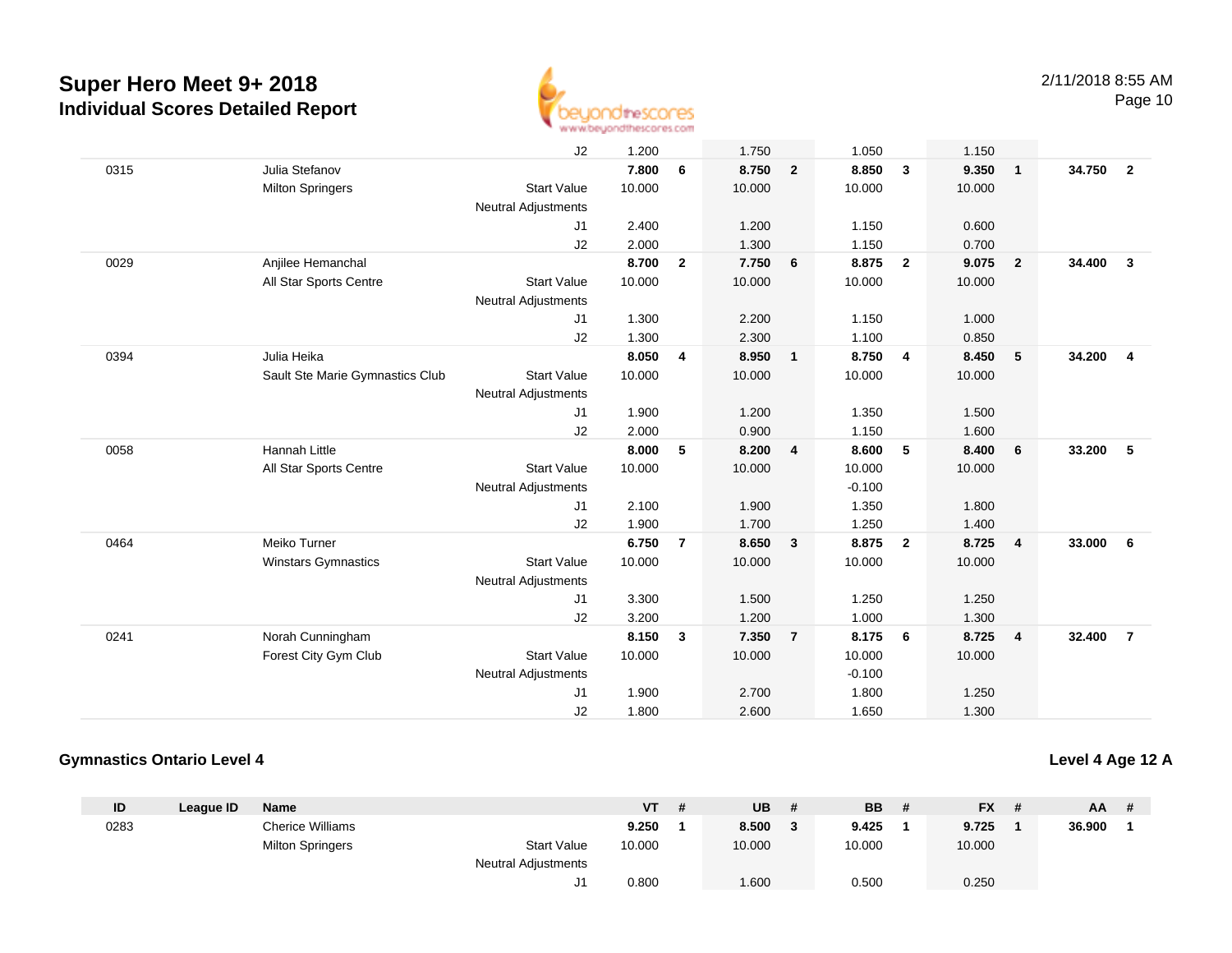

Page 10

|      |                                 | J2                         | 1.200  |                | 1.750  |                | 1.050    |                | 1.150  |                         |        |                |
|------|---------------------------------|----------------------------|--------|----------------|--------|----------------|----------|----------------|--------|-------------------------|--------|----------------|
| 0315 | Julia Stefanov                  |                            | 7.800  | 6              | 8.750  | $\overline{2}$ | 8.850    | $\mathbf{3}$   | 9.350  | $\overline{\mathbf{1}}$ | 34.750 | $\overline{2}$ |
|      | <b>Milton Springers</b>         | <b>Start Value</b>         | 10.000 |                | 10.000 |                | 10.000   |                | 10.000 |                         |        |                |
|      |                                 | <b>Neutral Adjustments</b> |        |                |        |                |          |                |        |                         |        |                |
|      |                                 | J1                         | 2.400  |                | 1.200  |                | 1.150    |                | 0.600  |                         |        |                |
|      |                                 | J2                         | 2.000  |                | 1.300  |                | 1.150    |                | 0.700  |                         |        |                |
| 0029 | Anjilee Hemanchal               |                            | 8.700  | $\overline{2}$ | 7.750  | 6              | 8.875    | $\overline{2}$ | 9.075  | $\overline{\mathbf{2}}$ | 34.400 | $\mathbf{3}$   |
|      | All Star Sports Centre          | <b>Start Value</b>         | 10.000 |                | 10.000 |                | 10.000   |                | 10.000 |                         |        |                |
|      |                                 | <b>Neutral Adjustments</b> |        |                |        |                |          |                |        |                         |        |                |
|      |                                 | J1                         | 1.300  |                | 2.200  |                | 1.150    |                | 1.000  |                         |        |                |
|      |                                 | J2                         | 1.300  |                | 2.300  |                | 1.100    |                | 0.850  |                         |        |                |
| 0394 | Julia Heika                     |                            | 8.050  | 4              | 8.950  | $\mathbf{1}$   | 8.750    | $\overline{4}$ | 8.450  | 5                       | 34.200 | $\overline{4}$ |
|      | Sault Ste Marie Gymnastics Club | <b>Start Value</b>         | 10.000 |                | 10.000 |                | 10.000   |                | 10.000 |                         |        |                |
|      |                                 | <b>Neutral Adjustments</b> |        |                |        |                |          |                |        |                         |        |                |
|      |                                 | J1                         | 1.900  |                | 1.200  |                | 1.350    |                | 1.500  |                         |        |                |
|      |                                 | J2                         | 2.000  |                | 0.900  |                | 1.150    |                | 1.600  |                         |        |                |
| 0058 | Hannah Little                   |                            | 8.000  | 5              | 8.200  | $\overline{4}$ | 8.600    | 5              | 8.400  | 6                       | 33.200 | -5             |
|      | All Star Sports Centre          | <b>Start Value</b>         | 10.000 |                | 10.000 |                | 10.000   |                | 10.000 |                         |        |                |
|      |                                 | <b>Neutral Adjustments</b> |        |                |        |                | $-0.100$ |                |        |                         |        |                |
|      |                                 | J <sub>1</sub>             | 2.100  |                | 1.900  |                | 1.350    |                | 1.800  |                         |        |                |
|      |                                 | J2                         | 1.900  |                | 1.700  |                | 1.250    |                | 1.400  |                         |        |                |
| 0464 | Meiko Turner                    |                            | 6.750  | $\overline{7}$ | 8.650  | $\mathbf{3}$   | 8.875    | $\overline{2}$ | 8.725  | $\overline{4}$          | 33.000 | - 6            |
|      | <b>Winstars Gymnastics</b>      | <b>Start Value</b>         | 10.000 |                | 10.000 |                | 10.000   |                | 10.000 |                         |        |                |
|      |                                 | Neutral Adjustments        |        |                |        |                |          |                |        |                         |        |                |
|      |                                 | J1                         | 3.300  |                | 1.500  |                | 1.250    |                | 1.250  |                         |        |                |
|      |                                 | J2                         | 3.200  |                | 1.200  |                | 1.000    |                | 1.300  |                         |        |                |
| 0241 | Norah Cunningham                |                            | 8.150  | 3              | 7.350  | $\overline{7}$ | 8.175    | 6              | 8.725  | $\overline{\mathbf{4}}$ | 32.400 | $\overline{7}$ |
|      | Forest City Gym Club            | <b>Start Value</b>         | 10.000 |                | 10.000 |                | 10.000   |                | 10.000 |                         |        |                |
|      |                                 | <b>Neutral Adjustments</b> |        |                |        |                | $-0.100$ |                |        |                         |        |                |
|      |                                 | J <sub>1</sub>             | 1.900  |                | 2.700  |                | 1.800    |                | 1.250  |                         |        |                |
|      |                                 | J2                         | 1.800  |                | 2.600  |                | 1.650    |                | 1.300  |                         |        |                |

## **Gymnastics Ontario Level 4**

**Level 4 Age 12 A**

| ID   | League ID | <b>Name</b>             |                            | <b>VT</b> | -# | UB     | <b>BB</b> | FX .   | <b>AA</b> | # |
|------|-----------|-------------------------|----------------------------|-----------|----|--------|-----------|--------|-----------|---|
| 0283 |           | <b>Cherice Williams</b> |                            | 9.250     |    | 8.500  | 9.425     | 9.725  | 36.900    |   |
|      |           | <b>Milton Springers</b> | <b>Start Value</b>         | 10.000    |    | 10.000 | 10.000    | 10.000 |           |   |
|      |           |                         | <b>Neutral Adjustments</b> |           |    |        |           |        |           |   |
|      |           |                         | ັ                          | 0.800     |    | .600   | 0.500     | 0.250  |           |   |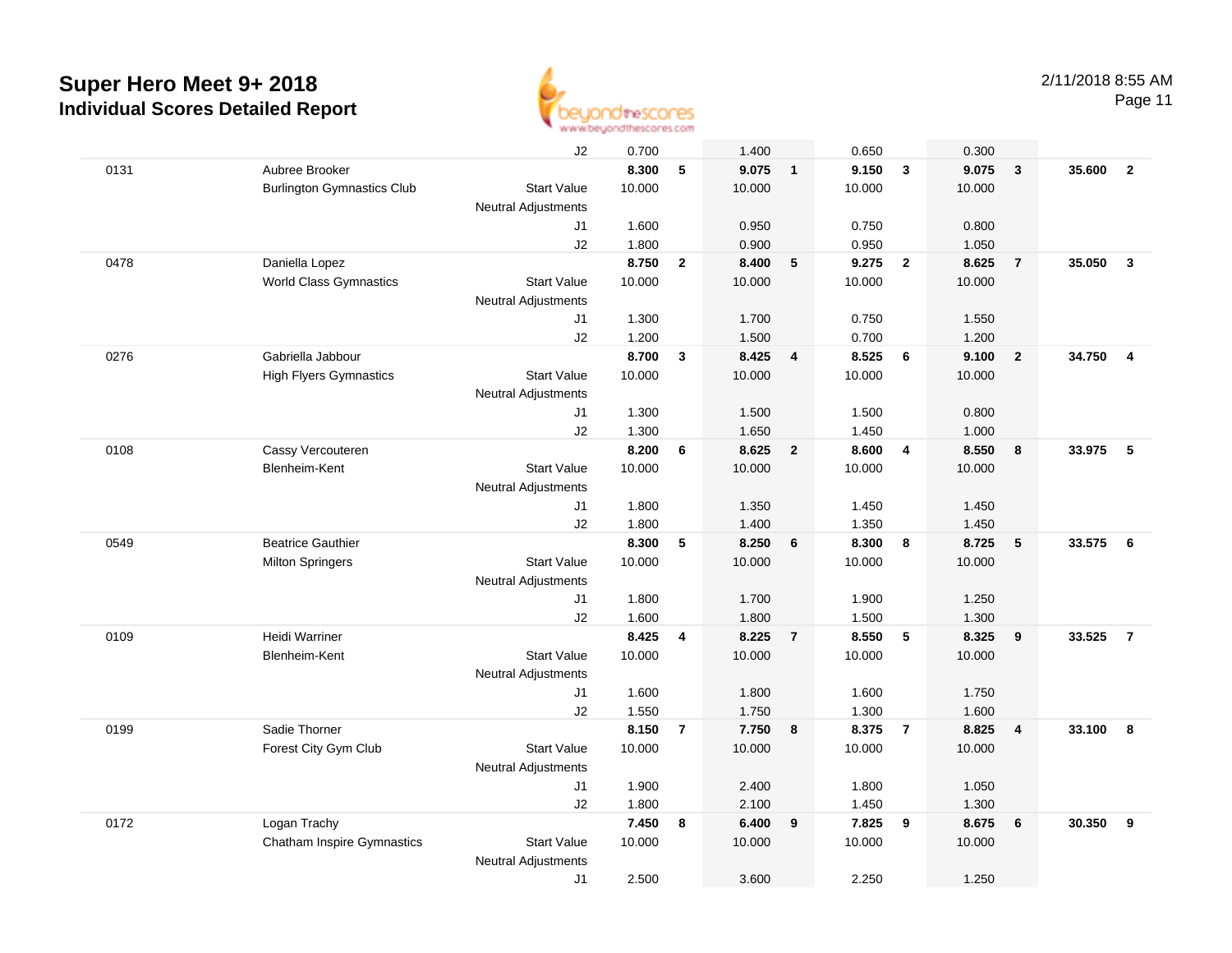

Page 11

|      |                                   | J2                         | 0.700  |                | 1.400  |                | 0.650  |                | 0.300  |                         |        |                         |
|------|-----------------------------------|----------------------------|--------|----------------|--------|----------------|--------|----------------|--------|-------------------------|--------|-------------------------|
| 0131 | Aubree Brooker                    |                            | 8.300  | 5              | 9.075  | $\overline{1}$ | 9.150  | $\mathbf{3}$   | 9.075  | $\overline{\mathbf{3}}$ | 35.600 | $\overline{2}$          |
|      | <b>Burlington Gymnastics Club</b> | <b>Start Value</b>         | 10.000 |                | 10.000 |                | 10.000 |                | 10.000 |                         |        |                         |
|      |                                   | <b>Neutral Adjustments</b> |        |                |        |                |        |                |        |                         |        |                         |
|      |                                   | J1                         | 1.600  |                | 0.950  |                | 0.750  |                | 0.800  |                         |        |                         |
|      |                                   | J2                         | 1.800  |                | 0.900  |                | 0.950  |                | 1.050  |                         |        |                         |
| 0478 | Daniella Lopez                    |                            | 8.750  | $\mathbf{2}$   | 8.400  | 5              | 9.275  | $\overline{2}$ | 8.625  | $\overline{7}$          | 35.050 | $\overline{\mathbf{3}}$ |
|      | <b>World Class Gymnastics</b>     | <b>Start Value</b>         | 10.000 |                | 10.000 |                | 10.000 |                | 10.000 |                         |        |                         |
|      |                                   | <b>Neutral Adjustments</b> |        |                |        |                |        |                |        |                         |        |                         |
|      |                                   | J1                         | 1.300  |                | 1.700  |                | 0.750  |                | 1.550  |                         |        |                         |
|      |                                   | J2                         | 1.200  |                | 1.500  |                | 0.700  |                | 1.200  |                         |        |                         |
| 0276 | Gabriella Jabbour                 |                            | 8.700  | 3              | 8.425  | $\overline{4}$ | 8.525  | 6              | 9.100  | $\overline{\mathbf{2}}$ | 34.750 | $\overline{4}$          |
|      | <b>High Flyers Gymnastics</b>     | <b>Start Value</b>         | 10.000 |                | 10.000 |                | 10.000 |                | 10.000 |                         |        |                         |
|      |                                   | <b>Neutral Adjustments</b> |        |                |        |                |        |                |        |                         |        |                         |
|      |                                   | J1                         | 1.300  |                | 1.500  |                | 1.500  |                | 0.800  |                         |        |                         |
|      |                                   | J2                         | 1.300  |                | 1.650  |                | 1.450  |                | 1.000  |                         |        |                         |
| 0108 | Cassy Vercouteren                 |                            | 8.200  | 6              | 8.625  | $\overline{2}$ | 8.600  | $\overline{4}$ | 8.550  | $\bf{8}$                | 33.975 | - 5                     |
|      | Blenheim-Kent                     | <b>Start Value</b>         | 10.000 |                | 10.000 |                | 10.000 |                | 10.000 |                         |        |                         |
|      |                                   | <b>Neutral Adjustments</b> |        |                |        |                |        |                |        |                         |        |                         |
|      |                                   | J1                         | 1.800  |                | 1.350  |                | 1.450  |                | 1.450  |                         |        |                         |
|      |                                   | J2                         | 1.800  |                | 1.400  |                | 1.350  |                | 1.450  |                         |        |                         |
| 0549 | <b>Beatrice Gauthier</b>          |                            | 8.300  | 5              | 8.250  | 6              | 8.300  | 8              | 8.725  | $5\phantom{.0}$         | 33.575 | 6                       |
|      | <b>Milton Springers</b>           | <b>Start Value</b>         | 10.000 |                | 10.000 |                | 10.000 |                | 10.000 |                         |        |                         |
|      |                                   | Neutral Adjustments        |        |                |        |                |        |                |        |                         |        |                         |
|      |                                   | J1                         | 1.800  |                | 1.700  |                | 1.900  |                | 1.250  |                         |        |                         |
|      |                                   | J2                         | 1.600  |                | 1.800  |                | 1.500  |                | 1.300  |                         |        |                         |
| 0109 | Heidi Warriner                    |                            | 8.425  | 4              | 8.225  | $\overline{7}$ | 8.550  | 5              | 8.325  | 9                       | 33.525 | $\overline{7}$          |
|      | Blenheim-Kent                     | <b>Start Value</b>         | 10.000 |                | 10.000 |                | 10.000 |                | 10.000 |                         |        |                         |
|      |                                   | <b>Neutral Adjustments</b> |        |                |        |                |        |                |        |                         |        |                         |
|      |                                   | J1                         | 1.600  |                | 1.800  |                | 1.600  |                | 1.750  |                         |        |                         |
|      |                                   | J2                         | 1.550  |                | 1.750  |                | 1.300  |                | 1.600  |                         |        |                         |
| 0199 | Sadie Thorner                     |                            | 8.150  | $\overline{7}$ | 7.750  | 8              | 8.375  | $\overline{7}$ | 8.825  | $\overline{\mathbf{4}}$ | 33.100 | 8                       |
|      | Forest City Gym Club              | <b>Start Value</b>         | 10.000 |                | 10.000 |                | 10.000 |                | 10.000 |                         |        |                         |
|      |                                   | <b>Neutral Adjustments</b> |        |                |        |                |        |                |        |                         |        |                         |
|      |                                   | J1                         | 1.900  |                | 2.400  |                | 1.800  |                | 1.050  |                         |        |                         |
|      |                                   | J2                         | 1.800  |                | 2.100  |                | 1.450  |                | 1.300  |                         |        |                         |
| 0172 | Logan Trachy                      |                            | 7.450  | 8              | 6.400  | 9              | 7.825  | 9              | 8.675  | 6                       | 30.350 | 9                       |
|      | <b>Chatham Inspire Gymnastics</b> | <b>Start Value</b>         | 10.000 |                | 10.000 |                | 10.000 |                | 10.000 |                         |        |                         |
|      |                                   | <b>Neutral Adjustments</b> |        |                |        |                |        |                |        |                         |        |                         |
|      |                                   | J1                         | 2.500  |                | 3.600  |                | 2.250  |                | 1.250  |                         |        |                         |
|      |                                   |                            |        |                |        |                |        |                |        |                         |        |                         |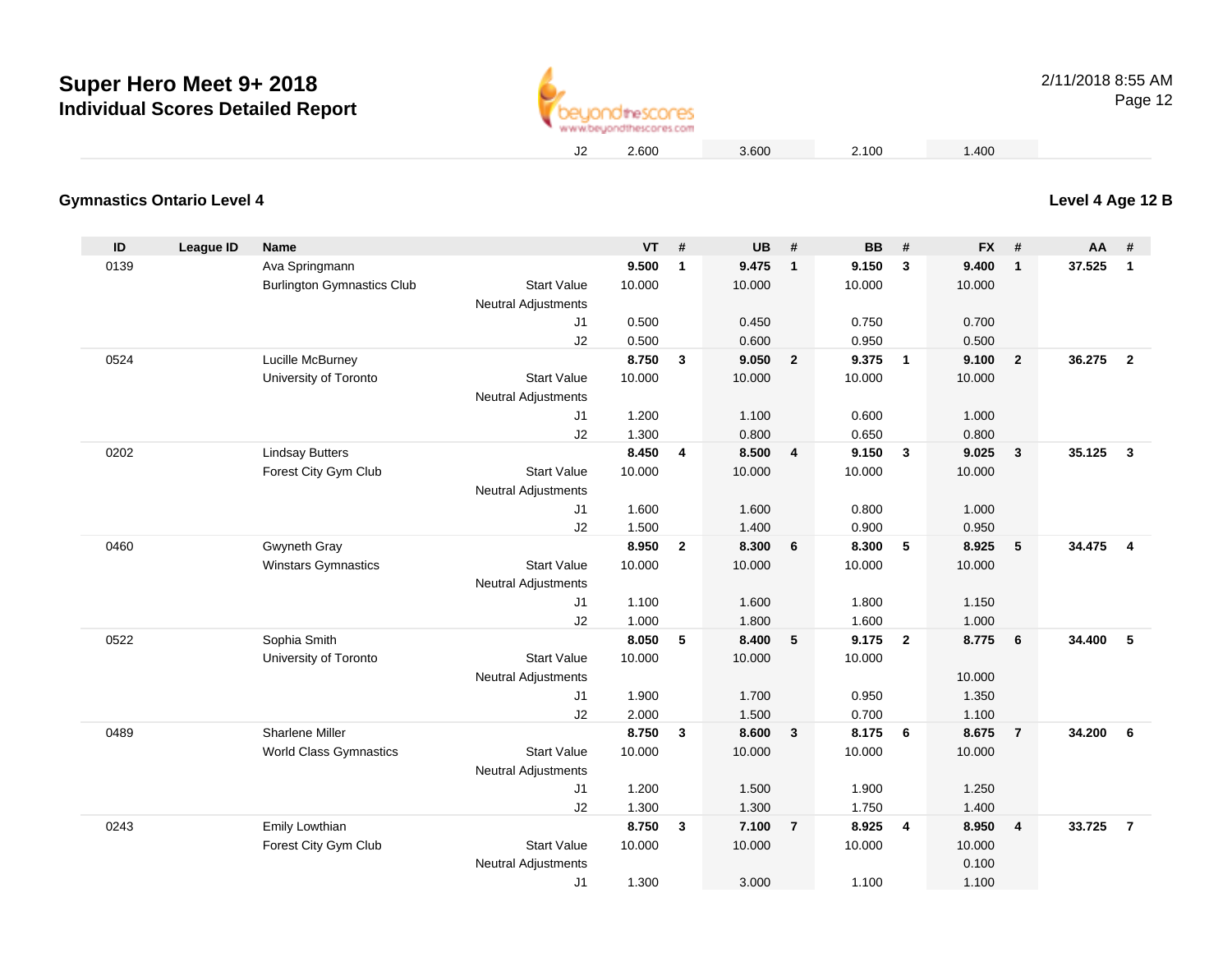

**Level 4 Age 12 B**

## **Gymnastics Ontario Level 4**

| ID   | League ID | Name                              |                            | <b>VT</b>      | #              | <b>UB</b>      | #                       | <b>BB</b>      | #              | <b>FX</b>      | #              | <b>AA</b> | #              |
|------|-----------|-----------------------------------|----------------------------|----------------|----------------|----------------|-------------------------|----------------|----------------|----------------|----------------|-----------|----------------|
| 0139 |           | Ava Springmann                    |                            | 9.500          | $\mathbf{1}$   | 9.475          | $\overline{1}$          | 9.150          | 3              | 9.400          | $\mathbf{1}$   | 37.525    | $\mathbf{1}$   |
|      |           | <b>Burlington Gymnastics Club</b> | <b>Start Value</b>         | 10.000         |                | 10.000         |                         | 10.000         |                | 10.000         |                |           |                |
|      |           |                                   | Neutral Adjustments        |                |                |                |                         |                |                |                |                |           |                |
|      |           |                                   | J1                         | 0.500          |                | 0.450          |                         | 0.750          |                | 0.700          |                |           |                |
|      |           |                                   | J2                         | 0.500          |                | 0.600          |                         | 0.950          |                | 0.500          |                |           |                |
| 0524 |           | Lucille McBurney                  |                            | 8.750          | $\mathbf{3}$   | 9.050          | $\overline{2}$          | 9.375          | $\overline{1}$ | 9.100          | $\overline{2}$ | 36.275    | $\overline{2}$ |
|      |           | University of Toronto             | <b>Start Value</b>         | 10.000         |                | 10.000         |                         | 10.000         |                | 10.000         |                |           |                |
|      |           |                                   | <b>Neutral Adjustments</b> |                |                |                |                         |                |                |                |                |           |                |
|      |           |                                   | J1                         | 1.200          |                | 1.100          |                         | 0.600          |                | 1.000          |                |           |                |
|      |           |                                   | J2                         | 1.300          |                | 0.800          |                         | 0.650          |                | 0.800          |                |           |                |
| 0202 |           | <b>Lindsay Butters</b>            |                            | 8.450          | $\overline{4}$ | 8.500          | $\overline{4}$          | 9.150          | $\mathbf{3}$   | 9.025          | $\mathbf{3}$   | 35.125    | $\mathbf{3}$   |
|      |           | Forest City Gym Club              | <b>Start Value</b>         | 10.000         |                | 10.000         |                         | 10.000         |                | 10.000         |                |           |                |
|      |           |                                   | <b>Neutral Adjustments</b> |                |                |                |                         |                |                |                |                |           |                |
|      |           |                                   | J1                         | 1.600          |                | 1.600          |                         | 0.800          |                | 1.000          |                |           |                |
|      |           |                                   | J2                         | 1.500          |                | 1.400          |                         | 0.900          |                | 0.950          |                |           |                |
| 0460 |           | Gwyneth Gray                      |                            | 8.950          | $\overline{2}$ | 8.300          | 6                       | 8.300          | 5              | 8.925          | 5              | 34.475    | $\overline{4}$ |
|      |           | Winstars Gymnastics               | <b>Start Value</b>         | 10.000         |                | 10.000         |                         | 10.000         |                | 10.000         |                |           |                |
|      |           |                                   | <b>Neutral Adjustments</b> |                |                |                |                         |                |                |                |                |           |                |
|      |           |                                   | J1                         | 1.100          |                | 1.600          |                         | 1.800          |                | 1.150          |                |           |                |
|      |           |                                   | J2                         | 1.000          |                | 1.800          |                         | 1.600          |                | 1.000          |                |           |                |
| 0522 |           | Sophia Smith                      |                            | 8.050          | 5              | 8.400          | 5                       | 9.175          | $\overline{2}$ | 8.775          | 6              | 34.400    | 5              |
|      |           | University of Toronto             | <b>Start Value</b>         | 10.000         |                | 10.000         |                         | 10.000         |                |                |                |           |                |
|      |           |                                   | <b>Neutral Adjustments</b> |                |                |                |                         |                |                | 10.000         |                |           |                |
|      |           |                                   | J1                         | 1.900          |                | 1.700          |                         | 0.950          |                | 1.350          |                |           |                |
| 0489 |           | <b>Sharlene Miller</b>            | J2                         | 2.000<br>8.750 | $\mathbf{3}$   | 1.500<br>8.600 | $\overline{\mathbf{3}}$ | 0.700<br>8.175 | 6              | 1.100<br>8.675 | $\overline{7}$ | 34.200    | 6              |
|      |           | <b>World Class Gymnastics</b>     | <b>Start Value</b>         | 10.000         |                | 10.000         |                         | 10.000         |                | 10.000         |                |           |                |
|      |           |                                   | <b>Neutral Adjustments</b> |                |                |                |                         |                |                |                |                |           |                |
|      |           |                                   | J1                         | 1.200          |                | 1.500          |                         | 1.900          |                | 1.250          |                |           |                |
|      |           |                                   | J2                         | 1.300          |                | 1.300          |                         | 1.750          |                | 1.400          |                |           |                |
| 0243 |           | Emily Lowthian                    |                            | 8.750          | $\mathbf{3}$   | 7.100          | $\overline{7}$          | 8.925          | $\overline{4}$ | 8.950          | $\overline{4}$ | 33.725    | $\overline{7}$ |
|      |           | Forest City Gym Club              | <b>Start Value</b>         | 10.000         |                | 10.000         |                         | 10.000         |                | 10.000         |                |           |                |
|      |           |                                   | <b>Neutral Adjustments</b> |                |                |                |                         |                |                | 0.100          |                |           |                |
|      |           |                                   | J <sub>1</sub>             | 1.300          |                | 3.000          |                         | 1.100          |                | 1.100          |                |           |                |
|      |           |                                   |                            |                |                |                |                         |                |                |                |                |           |                |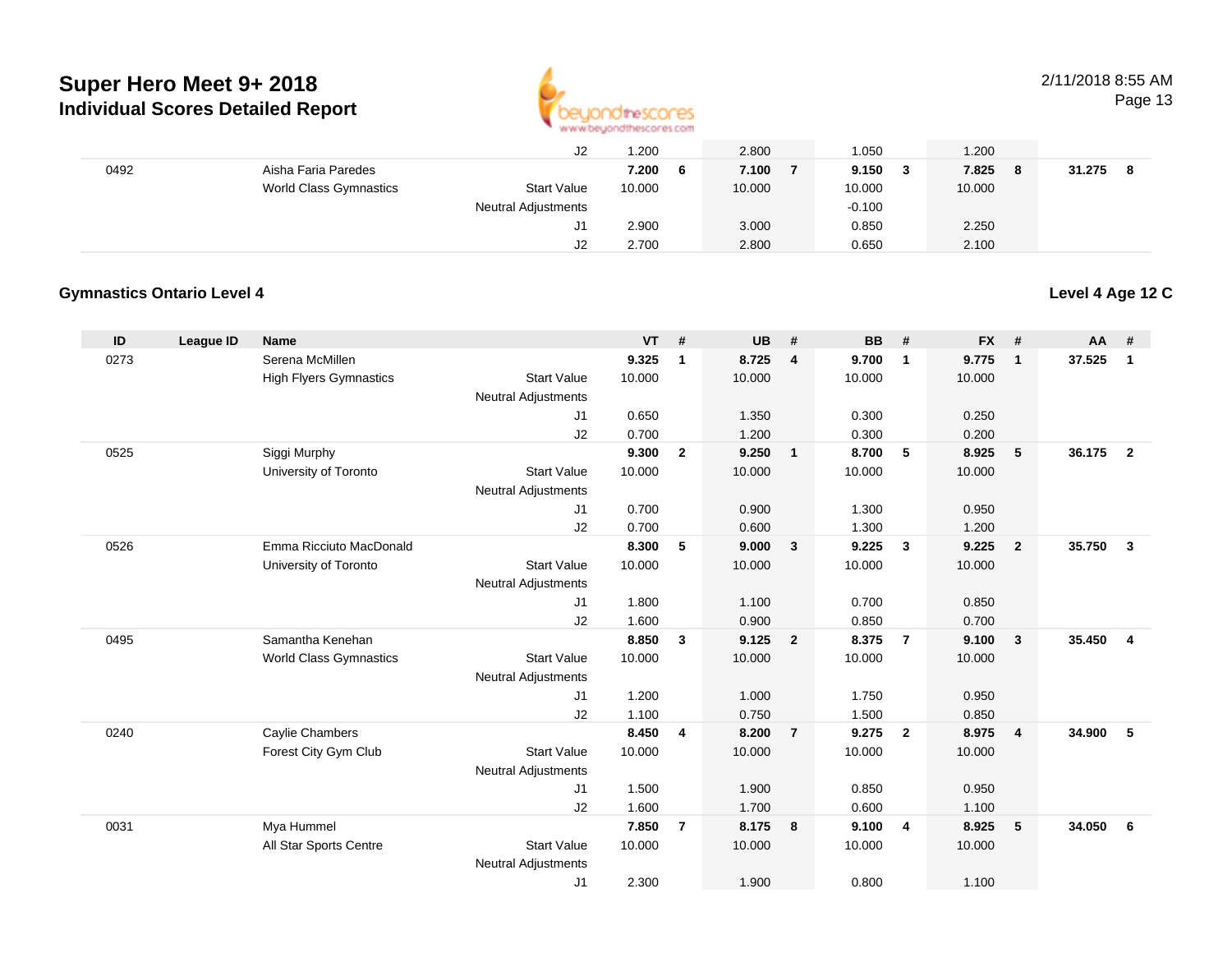

## 2/11/2018 8:55 AM

**Level 4 Age 12 C**

Page 13

|      |                        | J2                  | .200         | 2.800  | 1.050      | .200         |        |
|------|------------------------|---------------------|--------------|--------|------------|--------------|--------|
| 0492 | Aisha Faria Paredes    |                     | 7.200<br>- 6 | 7.100  | 9.150<br>3 | 7.825<br>- 8 | 31.275 |
|      | World Class Gymnastics | <b>Start Value</b>  | 10.000       | 10.000 | 10.000     | 10.000       |        |
|      |                        | Neutral Adjustments |              |        | $-0.100$   |              |        |
|      |                        | J1                  | 2.900        | 3.000  | 0.850      | 2.250        |        |
|      |                        | J2                  | 2.700        | 2.800  | 0.650      | 2.100        |        |

## **Gymnastics Ontario Level 4**

| ID   | <b>League ID</b> | <b>Name</b>                   |                                  | <b>VT</b> | #              | <b>UB</b> | #              | <b>BB</b> | #                       | <b>FX</b>       | #                       | AA     | #              |
|------|------------------|-------------------------------|----------------------------------|-----------|----------------|-----------|----------------|-----------|-------------------------|-----------------|-------------------------|--------|----------------|
| 0273 |                  | Serena McMillen               |                                  | 9.325     | $\mathbf 1$    | 8.725     | $\overline{4}$ | 9.700     | $\overline{\mathbf{1}}$ | 9.775           | $\overline{\mathbf{1}}$ | 37.525 | $\mathbf{1}$   |
|      |                  | <b>High Flyers Gymnastics</b> | <b>Start Value</b>               | 10.000    |                | 10.000    |                | 10.000    |                         | 10.000          |                         |        |                |
|      |                  |                               | <b>Neutral Adjustments</b>       |           |                |           |                |           |                         |                 |                         |        |                |
|      |                  |                               | J1                               | 0.650     |                | 1.350     |                | 0.300     |                         | 0.250           |                         |        |                |
|      |                  |                               | J2                               | 0.700     |                | 1.200     |                | 0.300     |                         | 0.200           |                         |        |                |
| 0525 |                  | Siggi Murphy                  |                                  | 9.300     | $\overline{2}$ | 9.250     | $\mathbf{1}$   | 8.700     | 5                       | 8.925           | 5                       | 36.175 | $\overline{2}$ |
|      |                  | University of Toronto         | <b>Start Value</b>               | 10.000    |                | 10.000    |                | 10.000    |                         | 10.000          |                         |        |                |
|      |                  |                               | <b>Neutral Adjustments</b>       |           |                |           |                |           |                         |                 |                         |        |                |
|      |                  |                               | J <sub>1</sub>                   | 0.700     |                | 0.900     |                | 1.300     |                         | 0.950           |                         |        |                |
|      |                  | Emma Ricciuto MacDonald       | J2                               | 0.700     |                | 0.600     |                | 1.300     |                         | 1.200           |                         |        |                |
| 0526 |                  |                               | <b>Start Value</b>               | 8.300     | 5              | 9.000     | $\mathbf{3}$   | 9.225     | $\mathbf{3}$            | 9.225<br>10.000 | $\overline{2}$          | 35.750 | $\mathbf{3}$   |
|      |                  | University of Toronto         |                                  | 10.000    |                | 10.000    |                | 10.000    |                         |                 |                         |        |                |
|      |                  |                               | <b>Neutral Adjustments</b><br>J1 | 1.800     |                | 1.100     |                | 0.700     |                         | 0.850           |                         |        |                |
|      |                  |                               | J2                               | 1.600     |                | 0.900     |                | 0.850     |                         | 0.700           |                         |        |                |
| 0495 |                  | Samantha Kenehan              |                                  | 8.850     | 3              | 9.125     | $\overline{2}$ | 8.375     | $\overline{7}$          | 9.100           | $\mathbf{3}$            | 35.450 | $\overline{4}$ |
|      |                  | World Class Gymnastics        | <b>Start Value</b>               | 10.000    |                | 10.000    |                | 10.000    |                         | 10.000          |                         |        |                |
|      |                  |                               | <b>Neutral Adjustments</b>       |           |                |           |                |           |                         |                 |                         |        |                |
|      |                  |                               | J <sub>1</sub>                   | 1.200     |                | 1.000     |                | 1.750     |                         | 0.950           |                         |        |                |
|      |                  |                               | J2                               | 1.100     |                | 0.750     |                | 1.500     |                         | 0.850           |                         |        |                |
| 0240 |                  | Caylie Chambers               |                                  | 8.450     | 4              | 8.200     | $\overline{7}$ | 9.275     | $\overline{2}$          | 8.975           | $\overline{4}$          | 34.900 | -5             |
|      |                  | Forest City Gym Club          | <b>Start Value</b>               | 10.000    |                | 10.000    |                | 10.000    |                         | 10.000          |                         |        |                |
|      |                  |                               | <b>Neutral Adjustments</b>       |           |                |           |                |           |                         |                 |                         |        |                |
|      |                  |                               | J <sub>1</sub>                   | 1.500     |                | 1.900     |                | 0.850     |                         | 0.950           |                         |        |                |
|      |                  |                               | J <sub>2</sub>                   | 1.600     |                | 1.700     |                | 0.600     |                         | 1.100           |                         |        |                |
| 0031 |                  | Mya Hummel                    |                                  | 7.850     | $\overline{7}$ | 8.175     | 8              | 9.100     | $\overline{4}$          | 8.925           | 5                       | 34.050 | 6              |
|      |                  | All Star Sports Centre        | <b>Start Value</b>               | 10.000    |                | 10.000    |                | 10.000    |                         | 10.000          |                         |        |                |
|      |                  |                               | <b>Neutral Adjustments</b>       |           |                |           |                |           |                         |                 |                         |        |                |
|      |                  |                               | J <sub>1</sub>                   | 2.300     |                | 1.900     |                | 0.800     |                         | 1.100           |                         |        |                |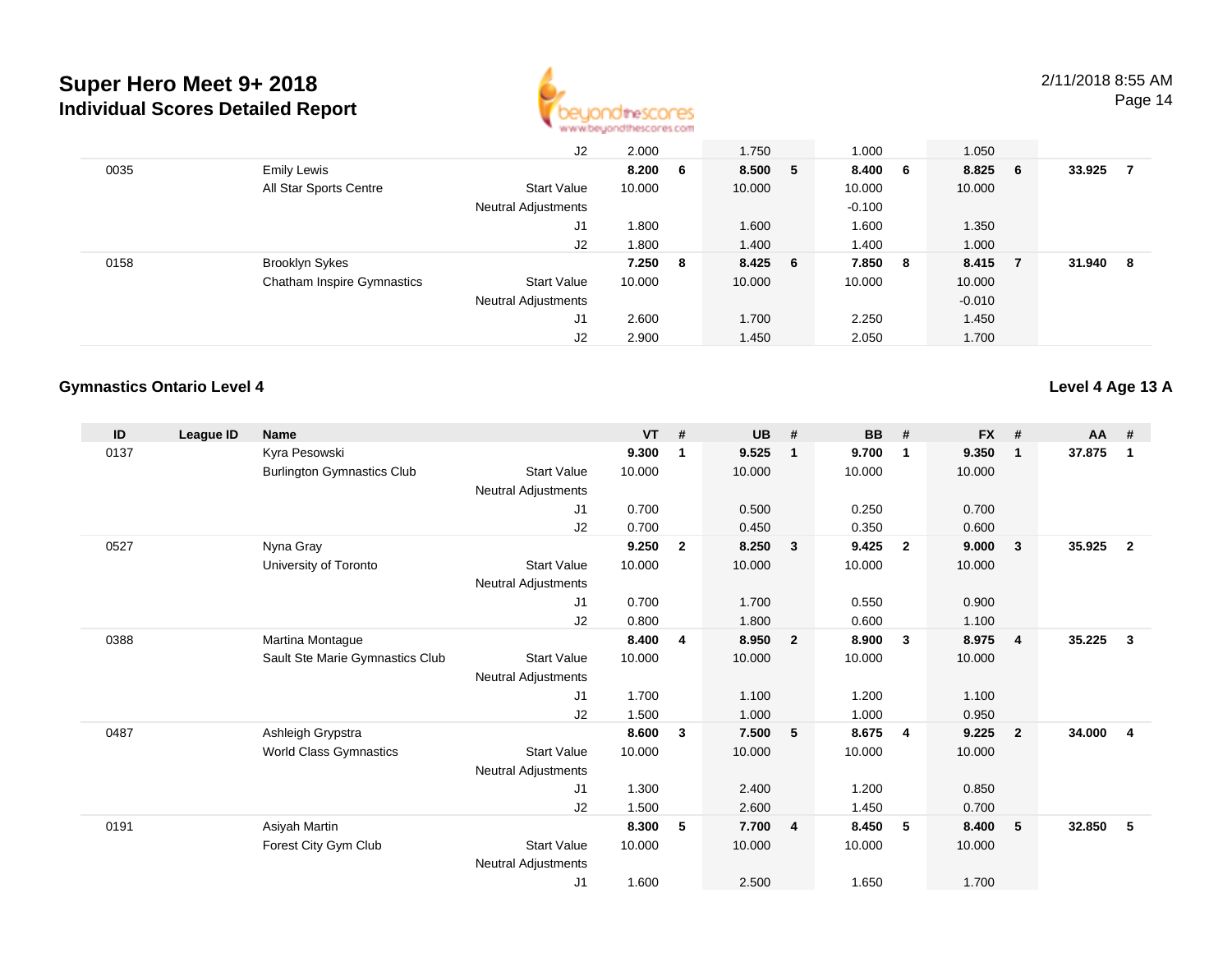

Page 14

|      |                                   | J2                         | 2.000  |     | 1.750   | 1.000    | 1.050    |     |        |    |
|------|-----------------------------------|----------------------------|--------|-----|---------|----------|----------|-----|--------|----|
| 0035 | <b>Emily Lewis</b>                |                            | 8.200  | 6   | 8.500 5 | 8.400 6  | 8.825    | - 6 | 33.925 | 7  |
|      | All Star Sports Centre            | Start Value                | 10.000 |     | 10.000  | 10.000   | 10.000   |     |        |    |
|      |                                   | Neutral Adjustments        |        |     |         | $-0.100$ |          |     |        |    |
|      |                                   | J1                         | 1.800  |     | 1.600   | 1.600    | 1.350    |     |        |    |
|      |                                   | J2                         | 1.800  |     | 1.400   | 1.400    | 1.000    |     |        |    |
| 0158 | <b>Brooklyn Sykes</b>             |                            | 7.250  | - 8 | 8.425 6 | 7.850 8  | 8.415    | - 7 | 31.940 | -8 |
|      | <b>Chatham Inspire Gymnastics</b> | <b>Start Value</b>         | 10.000 |     | 10.000  | 10.000   | 10.000   |     |        |    |
|      |                                   | <b>Neutral Adjustments</b> |        |     |         |          | $-0.010$ |     |        |    |
|      |                                   | J1                         | 2.600  |     | 1.700   | 2.250    | 1.450    |     |        |    |
|      |                                   | J2                         | 2.900  |     | 1.450   | 2.050    | 1.700    |     |        |    |

## **Gymnastics Ontario Level 4**

**Level 4 Age 13 A**

| ID   | League ID | <b>Name</b>                       |                            | <b>VT</b> | #            | <b>UB</b> | #                       | <b>BB</b> | #              | <b>FX</b> | #              | AA #   |                |
|------|-----------|-----------------------------------|----------------------------|-----------|--------------|-----------|-------------------------|-----------|----------------|-----------|----------------|--------|----------------|
| 0137 |           | Kyra Pesowski                     |                            | 9.300     | 1            | 9.525     | $\overline{1}$          | 9.700     | $\mathbf{1}$   | 9.350     | $\mathbf{1}$   | 37.875 | 1              |
|      |           | <b>Burlington Gymnastics Club</b> | <b>Start Value</b>         | 10.000    |              | 10.000    |                         | 10.000    |                | 10.000    |                |        |                |
|      |           |                                   | Neutral Adjustments        |           |              |           |                         |           |                |           |                |        |                |
|      |           |                                   | J1                         | 0.700     |              | 0.500     |                         | 0.250     |                | 0.700     |                |        |                |
|      |           |                                   | J <sub>2</sub>             | 0.700     |              | 0.450     |                         | 0.350     |                | 0.600     |                |        |                |
| 0527 |           | Nyna Gray                         |                            | 9.250     | $\mathbf{2}$ | 8.250     | $\overline{\mathbf{3}}$ | 9.425     | $\overline{2}$ | 9.000     | 3              | 35.925 | $\overline{2}$ |
|      |           | University of Toronto             | <b>Start Value</b>         | 10.000    |              | 10.000    |                         | 10.000    |                | 10.000    |                |        |                |
|      |           |                                   | Neutral Adjustments        |           |              |           |                         |           |                |           |                |        |                |
|      |           |                                   | J <sub>1</sub>             | 0.700     |              | 1.700     |                         | 0.550     |                | 0.900     |                |        |                |
|      |           |                                   | J2                         | 0.800     |              | 1.800     |                         | 0.600     |                | 1.100     |                |        |                |
| 0388 |           | Martina Montague                  |                            | 8.400     | 4            | 8.950     | $\overline{\mathbf{2}}$ | 8.900     | 3              | 8.975     | $\overline{4}$ | 35.225 | 3              |
|      |           | Sault Ste Marie Gymnastics Club   | <b>Start Value</b>         | 10.000    |              | 10.000    |                         | 10.000    |                | 10.000    |                |        |                |
|      |           |                                   | Neutral Adjustments        |           |              |           |                         |           |                |           |                |        |                |
|      |           |                                   | J <sub>1</sub>             | 1.700     |              | 1.100     |                         | 1.200     |                | 1.100     |                |        |                |
|      |           |                                   | J2                         | 1.500     |              | 1.000     |                         | 1.000     |                | 0.950     |                |        |                |
| 0487 |           | Ashleigh Grypstra                 |                            | 8.600     | 3            | 7.500     | - 5                     | 8.675     | - 4            | 9.225     | $\overline{2}$ | 34.000 | 4              |
|      |           | World Class Gymnastics            | <b>Start Value</b>         | 10.000    |              | 10.000    |                         | 10.000    |                | 10.000    |                |        |                |
|      |           |                                   | Neutral Adjustments        |           |              |           |                         |           |                |           |                |        |                |
|      |           |                                   | J1                         | 1.300     |              | 2.400     |                         | 1.200     |                | 0.850     |                |        |                |
|      |           |                                   | J <sub>2</sub>             | 1.500     |              | 2.600     |                         | 1.450     |                | 0.700     |                |        |                |
| 0191 |           | Asiyah Martin                     |                            | 8.300     | 5            | 7.700     | $\overline{4}$          | 8.450     | 5              | 8.400     | 5              | 32.850 | 5              |
|      |           | Forest City Gym Club              | <b>Start Value</b>         | 10.000    |              | 10.000    |                         | 10.000    |                | 10.000    |                |        |                |
|      |           |                                   | <b>Neutral Adjustments</b> |           |              |           |                         |           |                |           |                |        |                |
|      |           |                                   | J1                         | 1.600     |              | 2.500     |                         | 1.650     |                | 1.700     |                |        |                |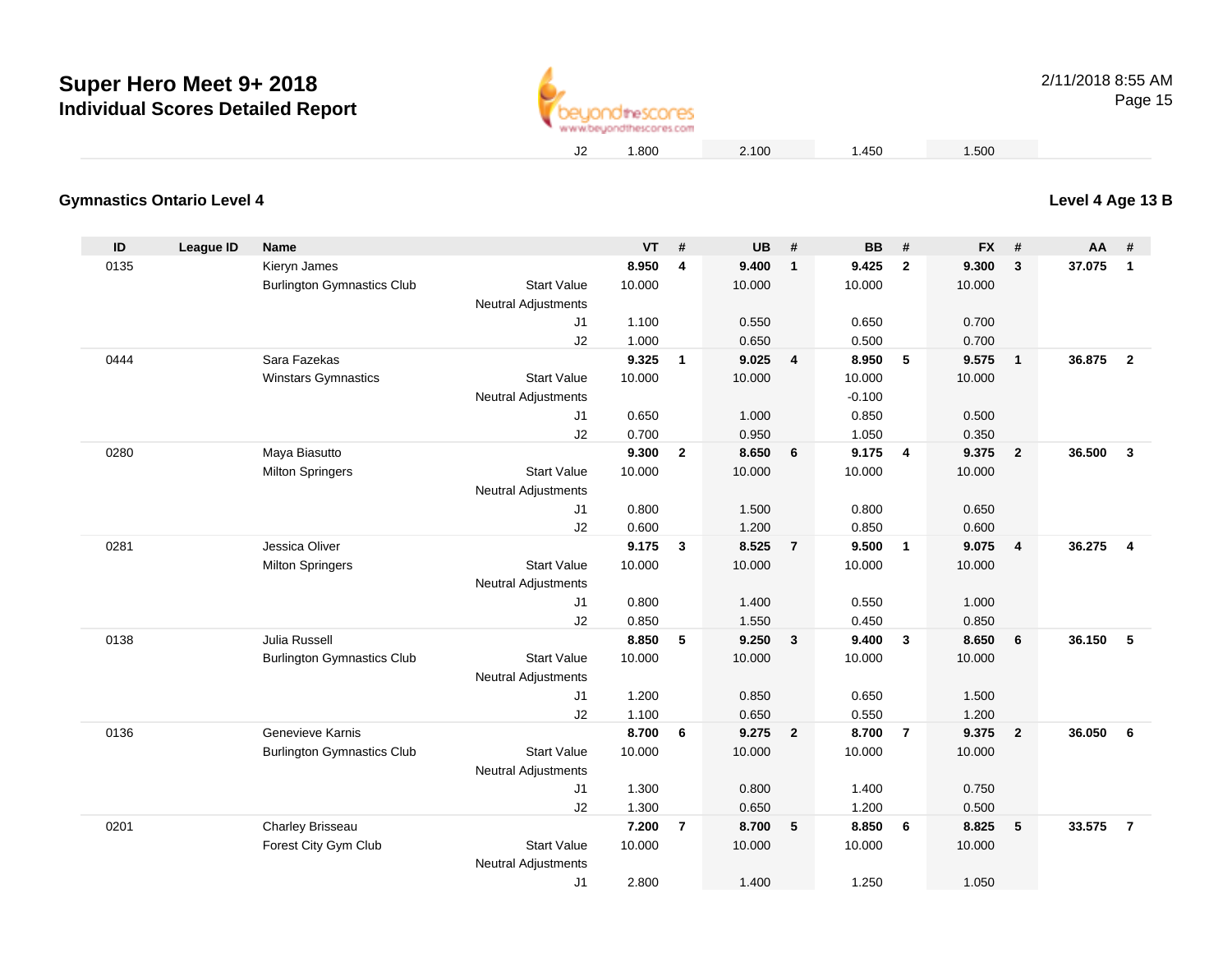

# **Level 4 Age 13 B**

## **Gymnastics Ontario Level 4**

| ID   | League ID | <b>Name</b>                       |                                  | <b>VT</b>       | #              | <b>UB</b>       | #                       | <b>BB</b>       | #              | <b>FX</b>       | #                       | AA     | #                       |
|------|-----------|-----------------------------------|----------------------------------|-----------------|----------------|-----------------|-------------------------|-----------------|----------------|-----------------|-------------------------|--------|-------------------------|
| 0135 |           | Kieryn James                      |                                  | 8.950           | 4              | 9.400           | $\overline{1}$          | 9.425           | $\overline{2}$ | 9.300           | 3                       | 37.075 | $\mathbf{1}$            |
|      |           | <b>Burlington Gymnastics Club</b> | <b>Start Value</b>               | 10.000          |                | 10.000          |                         | 10.000          |                | 10.000          |                         |        |                         |
|      |           |                                   | Neutral Adjustments              |                 |                |                 |                         |                 |                |                 |                         |        |                         |
|      |           |                                   | J1                               | 1.100           |                | 0.550           |                         | 0.650           |                | 0.700           |                         |        |                         |
|      |           |                                   | J2                               | 1.000           |                | 0.650           |                         | 0.500           |                | 0.700           |                         |        |                         |
| 0444 |           | Sara Fazekas                      |                                  | 9.325           | $\mathbf{1}$   | 9.025           | $\overline{4}$          | 8.950           | 5              | 9.575           | $\mathbf{1}$            | 36,875 | $\overline{\mathbf{2}}$ |
|      |           | Winstars Gymnastics               | <b>Start Value</b>               | 10.000          |                | 10.000          |                         | 10.000          |                | 10.000          |                         |        |                         |
|      |           |                                   | <b>Neutral Adjustments</b>       |                 |                |                 |                         | $-0.100$        |                |                 |                         |        |                         |
|      |           |                                   | J1                               | 0.650           |                | 1.000           |                         | 0.850           |                | 0.500           |                         |        |                         |
|      |           |                                   | J2                               | 0.700           |                | 0.950           |                         | 1.050           |                | 0.350           |                         |        |                         |
| 0280 |           | Maya Biasutto                     |                                  | 9.300           | $\overline{2}$ | 8.650           | 6                       | 9.175           | $\overline{4}$ | 9.375           | $\mathbf{2}$            | 36.500 | $\mathbf{3}$            |
|      |           | <b>Milton Springers</b>           | <b>Start Value</b>               | 10.000          |                | 10.000          |                         | 10.000          |                | 10.000          |                         |        |                         |
|      |           |                                   | <b>Neutral Adjustments</b>       |                 |                |                 |                         |                 |                |                 |                         |        |                         |
|      |           |                                   | J1                               | 0.800           |                | 1.500           |                         | 0.800           |                | 0.650           |                         |        |                         |
|      |           | Jessica Oliver                    | J2                               | 0.600           |                | 1.200           |                         | 0.850           |                | 0.600           |                         |        |                         |
| 0281 |           |                                   | <b>Start Value</b>               | 9.175<br>10.000 | $\mathbf{3}$   | 8.525<br>10.000 | $\overline{7}$          | 9.500<br>10.000 | $\overline{1}$ | 9.075<br>10.000 | $\overline{\mathbf{4}}$ | 36.275 | $\overline{4}$          |
|      |           | <b>Milton Springers</b>           |                                  |                 |                |                 |                         |                 |                |                 |                         |        |                         |
|      |           |                                   | <b>Neutral Adjustments</b><br>J1 | 0.800           |                | 1.400           |                         | 0.550           |                | 1.000           |                         |        |                         |
|      |           |                                   | J2                               | 0.850           |                | 1.550           |                         | 0.450           |                | 0.850           |                         |        |                         |
| 0138 |           | Julia Russell                     |                                  | 8.850           | 5              | 9.250           | $\mathbf{3}$            | 9.400           | $\mathbf{3}$   | 8.650           | 6                       | 36.150 | 5                       |
|      |           | <b>Burlington Gymnastics Club</b> | <b>Start Value</b>               | 10.000          |                | 10.000          |                         | 10.000          |                | 10.000          |                         |        |                         |
|      |           |                                   | <b>Neutral Adjustments</b>       |                 |                |                 |                         |                 |                |                 |                         |        |                         |
|      |           |                                   | J1                               | 1.200           |                | 0.850           |                         | 0.650           |                | 1.500           |                         |        |                         |
|      |           |                                   | J2                               | 1.100           |                | 0.650           |                         | 0.550           |                | 1.200           |                         |        |                         |
| 0136 |           | Genevieve Karnis                  |                                  | 8.700           | 6              | 9.275           | $\overline{\mathbf{2}}$ | 8.700           | $\overline{7}$ | 9.375           | $\overline{2}$          | 36.050 | 6                       |
|      |           | <b>Burlington Gymnastics Club</b> | <b>Start Value</b>               | 10.000          |                | 10.000          |                         | 10.000          |                | 10.000          |                         |        |                         |
|      |           |                                   | <b>Neutral Adjustments</b>       |                 |                |                 |                         |                 |                |                 |                         |        |                         |
|      |           |                                   | J1                               | 1.300           |                | 0.800           |                         | 1.400           |                | 0.750           |                         |        |                         |
|      |           |                                   | J2                               | 1.300           |                | 0.650           |                         | 1.200           |                | 0.500           |                         |        |                         |
| 0201 |           | Charley Brisseau                  |                                  | 7.200           | $\overline{7}$ | 8.700           | 5                       | 8.850           | 6              | 8.825           | 5                       | 33.575 | $\overline{7}$          |
|      |           | Forest City Gym Club              | <b>Start Value</b>               | 10.000          |                | 10.000          |                         | 10.000          |                | 10.000          |                         |        |                         |
|      |           |                                   | <b>Neutral Adjustments</b>       |                 |                |                 |                         |                 |                |                 |                         |        |                         |
|      |           |                                   | J1                               | 2.800           |                | 1.400           |                         | 1.250           |                | 1.050           |                         |        |                         |